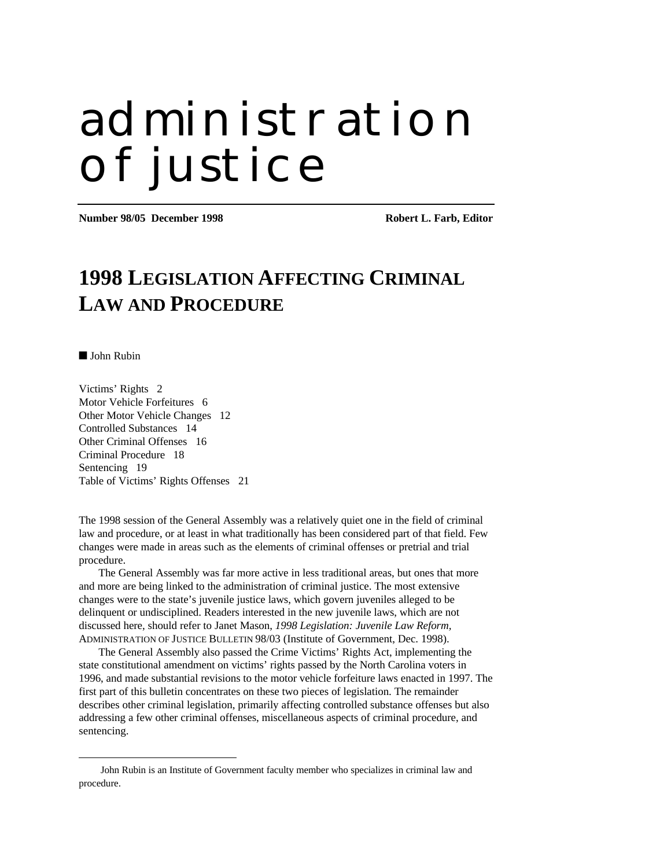# administration of justice

**Number 98/05 December 1998 Robert L. Farb, Editor**

## **1998 LEGISLATION AFFECTING CRIMINAL LAW AND PROCEDURE**

■ John Rubin

 $\overline{a}$ 

Victims' Rights 2 Motor Vehicle Forfeitures 6 Other Motor Vehicle Changes 12 Controlled Substances 14 Other Criminal Offenses 16 Criminal Procedure 18 Sentencing 19 Table of Victims' Rights Offenses 21

The 1998 session of the General Assembly was a relatively quiet one in the field of criminal law and procedure, or at least in what traditionally has been considered part of that field. Few changes were made in areas such as the elements of criminal offenses or pretrial and trial procedure.

The General Assembly was far more active in less traditional areas, but ones that more and more are being linked to the administration of criminal justice. The most extensive changes were to the state's juvenile justice laws, which govern juveniles alleged to be delinquent or undisciplined. Readers interested in the new juvenile laws, which are not discussed here, should refer to Janet Mason, *1998 Legislation: Juvenile Law Reform,* ADMINISTRATION OF JUSTICE BULLETIN 98/03 (Institute of Government, Dec. 1998).

The General Assembly also passed the Crime Victims' Rights Act, implementing the state constitutional amendment on victims' rights passed by the North Carolina voters in 1996, and made substantial revisions to the motor vehicle forfeiture laws enacted in 1997. The first part of this bulletin concentrates on these two pieces of legislation. The remainder describes other criminal legislation, primarily affecting controlled substance offenses but also addressing a few other criminal offenses, miscellaneous aspects of criminal procedure, and sentencing.

John Rubin is an Institute of Government faculty member who specializes in criminal law and procedure.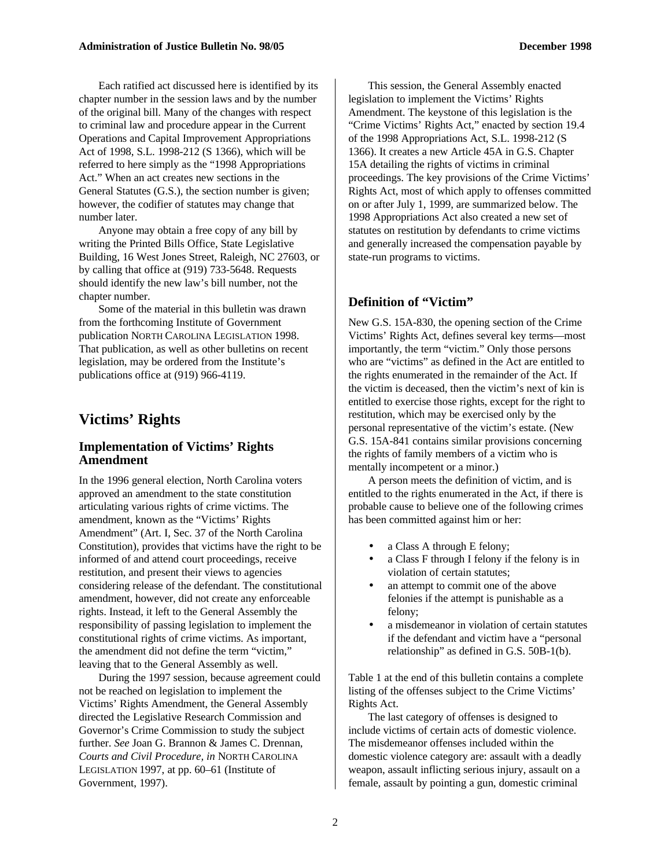Each ratified act discussed here is identified by its chapter number in the session laws and by the number of the original bill. Many of the changes with respect to criminal law and procedure appear in the Current Operations and Capital Improvement Appropriations Act of 1998, S.L. 1998-212 (S 1366), which will be referred to here simply as the "1998 Appropriations Act." When an act creates new sections in the General Statutes (G.S.), the section number is given; however, the codifier of statutes may change that number later.

Anyone may obtain a free copy of any bill by writing the Printed Bills Office, State Legislative Building, 16 West Jones Street, Raleigh, NC 27603, or by calling that office at (919) 733-5648. Requests should identify the new law's bill number, not the chapter number.

Some of the material in this bulletin was drawn from the forthcoming Institute of Government publication NORTH CAROLINA LEGISLATION 1998. That publication, as well as other bulletins on recent legislation, may be ordered from the Institute's publications office at (919) 966-4119.

#### **Victims' Rights**

#### **Implementation of Victims' Rights Amendment**

In the 1996 general election, North Carolina voters approved an amendment to the state constitution articulating various rights of crime victims. The amendment, known as the "Victims' Rights Amendment" (Art. I, Sec. 37 of the North Carolina Constitution), provides that victims have the right to be informed of and attend court proceedings, receive restitution, and present their views to agencies considering release of the defendant. The constitutional amendment, however, did not create any enforceable rights. Instead, it left to the General Assembly the responsibility of passing legislation to implement the constitutional rights of crime victims. As important, the amendment did not define the term "victim," leaving that to the General Assembly as well.

During the 1997 session, because agreement could not be reached on legislation to implement the Victims' Rights Amendment, the General Assembly directed the Legislative Research Commission and Governor's Crime Commission to study the subject further. *See* Joan G. Brannon & James C. Drennan, *Courts and Civil Procedure, in* NORTH CAROLINA LEGISLATION 1997, at pp. 60–61 (Institute of Government, 1997).

This session, the General Assembly enacted legislation to implement the Victims' Rights Amendment. The keystone of this legislation is the "Crime Victims' Rights Act," enacted by section 19.4 of the 1998 Appropriations Act, S.L. 1998-212 (S 1366). It creates a new Article 45A in G.S. Chapter 15A detailing the rights of victims in criminal proceedings. The key provisions of the Crime Victims' Rights Act, most of which apply to offenses committed on or after July 1, 1999, are summarized below. The 1998 Appropriations Act also created a new set of statutes on restitution by defendants to crime victims and generally increased the compensation payable by state-run programs to victims.

#### **Definition of "Victim"**

New G.S. 15A-830, the opening section of the Crime Victims' Rights Act, defines several key terms—most importantly, the term "victim." Only those persons who are "victims" as defined in the Act are entitled to the rights enumerated in the remainder of the Act. If the victim is deceased, then the victim's next of kin is entitled to exercise those rights, except for the right to restitution, which may be exercised only by the personal representative of the victim's estate. (New G.S. 15A-841 contains similar provisions concerning the rights of family members of a victim who is mentally incompetent or a minor.)

A person meets the definition of victim, and is entitled to the rights enumerated in the Act, if there is probable cause to believe one of the following crimes has been committed against him or her:

- a Class A through E felony;
- a Class F through I felony if the felony is in violation of certain statutes;
- an attempt to commit one of the above felonies if the attempt is punishable as a felony;
- a misdemeanor in violation of certain statutes if the defendant and victim have a "personal relationship" as defined in G.S. 50B-1(b).

Table 1 at the end of this bulletin contains a complete listing of the offenses subject to the Crime Victims' Rights Act.

The last category of offenses is designed to include victims of certain acts of domestic violence. The misdemeanor offenses included within the domestic violence category are: assault with a deadly weapon, assault inflicting serious injury, assault on a female, assault by pointing a gun, domestic criminal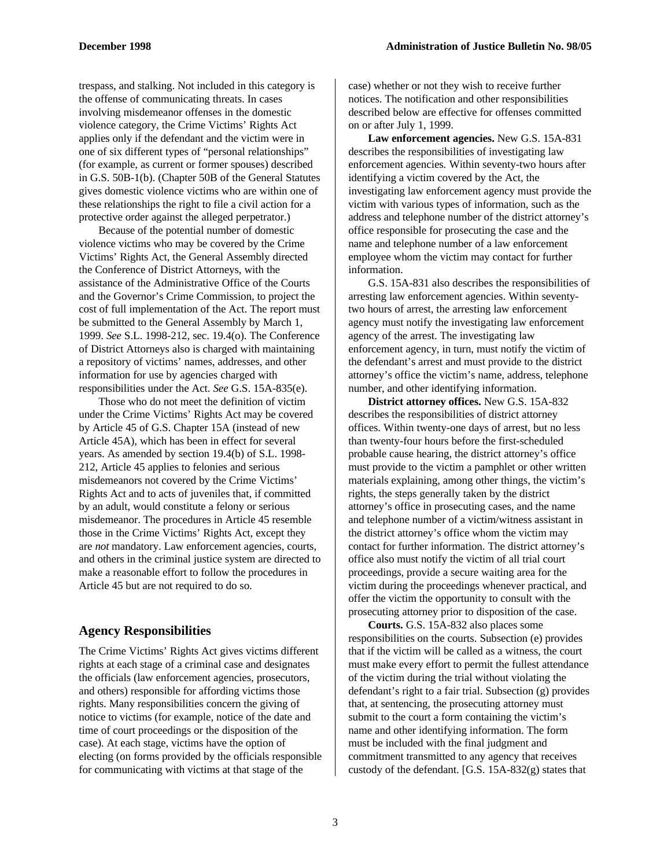trespass, and stalking. Not included in this category is the offense of communicating threats. In cases involving misdemeanor offenses in the domestic violence category, the Crime Victims' Rights Act applies only if the defendant and the victim were in one of six different types of "personal relationships" (for example, as current or former spouses) described in G.S. 50B-1(b). (Chapter 50B of the General Statutes gives domestic violence victims who are within one of these relationships the right to file a civil action for a protective order against the alleged perpetrator.)

Because of the potential number of domestic violence victims who may be covered by the Crime Victims' Rights Act, the General Assembly directed the Conference of District Attorneys, with the assistance of the Administrative Office of the Courts and the Governor's Crime Commission, to project the cost of full implementation of the Act. The report must be submitted to the General Assembly by March 1, 1999. *See* S.L. 1998-212, sec. 19.4(o). The Conference of District Attorneys also is charged with maintaining a repository of victims' names, addresses, and other information for use by agencies charged with responsibilities under the Act. *See* G.S. 15A-835(e).

Those who do not meet the definition of victim under the Crime Victims' Rights Act may be covered by Article 45 of G.S. Chapter 15A (instead of new Article 45A), which has been in effect for several years. As amended by section 19.4(b) of S.L. 1998- 212, Article 45 applies to felonies and serious misdemeanors not covered by the Crime Victims' Rights Act and to acts of juveniles that, if committed by an adult, would constitute a felony or serious misdemeanor. The procedures in Article 45 resemble those in the Crime Victims' Rights Act, except they are *not* mandatory. Law enforcement agencies, courts, and others in the criminal justice system are directed to make a reasonable effort to follow the procedures in Article 45 but are not required to do so.

#### **Agency Responsibilities**

The Crime Victims' Rights Act gives victims different rights at each stage of a criminal case and designates the officials (law enforcement agencies, prosecutors, and others) responsible for affording victims those rights. Many responsibilities concern the giving of notice to victims (for example, notice of the date and time of court proceedings or the disposition of the case). At each stage, victims have the option of electing (on forms provided by the officials responsible for communicating with victims at that stage of the

case) whether or not they wish to receive further notices. The notification and other responsibilities described below are effective for offenses committed on or after July 1, 1999.

**Law enforcement agencies.** New G.S. 15A-831 describes the responsibilities of investigating law enforcement agencies*.* Within seventy-two hours after identifying a victim covered by the Act, the investigating law enforcement agency must provide the victim with various types of information, such as the address and telephone number of the district attorney's office responsible for prosecuting the case and the name and telephone number of a law enforcement employee whom the victim may contact for further information.

G.S. 15A-831 also describes the responsibilities of arresting law enforcement agencies. Within seventytwo hours of arrest, the arresting law enforcement agency must notify the investigating law enforcement agency of the arrest. The investigating law enforcement agency, in turn, must notify the victim of the defendant's arrest and must provide to the district attorney's office the victim's name, address, telephone number, and other identifying information.

**District attorney offices.** New G.S. 15A-832 describes the responsibilities of district attorney offices. Within twenty-one days of arrest, but no less than twenty-four hours before the first-scheduled probable cause hearing, the district attorney's office must provide to the victim a pamphlet or other written materials explaining, among other things, the victim's rights, the steps generally taken by the district attorney's office in prosecuting cases, and the name and telephone number of a victim/witness assistant in the district attorney's office whom the victim may contact for further information. The district attorney's office also must notify the victim of all trial court proceedings, provide a secure waiting area for the victim during the proceedings whenever practical, and offer the victim the opportunity to consult with the prosecuting attorney prior to disposition of the case.

**Courts.** G.S. 15A-832 also places some responsibilities on the courts. Subsection (e) provides that if the victim will be called as a witness, the court must make every effort to permit the fullest attendance of the victim during the trial without violating the defendant's right to a fair trial. Subsection (g) provides that, at sentencing, the prosecuting attorney must submit to the court a form containing the victim's name and other identifying information. The form must be included with the final judgment and commitment transmitted to any agency that receives custody of the defendant. [G.S. 15A-832(g) states that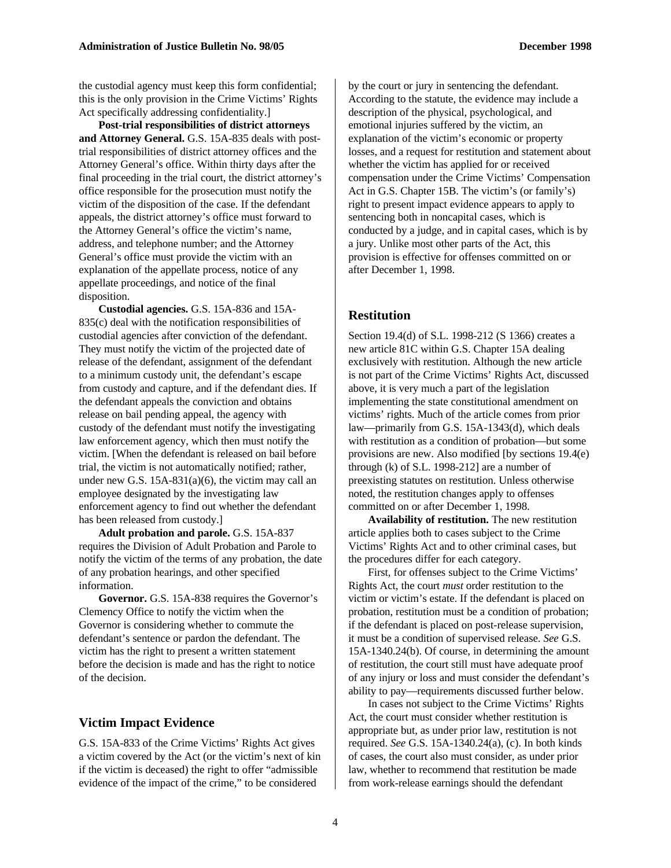the custodial agency must keep this form confidential; this is the only provision in the Crime Victims' Rights Act specifically addressing confidentiality.]

**Post-trial responsibilities of district attorneys and Attorney General.** G.S. 15A-835 deals with posttrial responsibilities of district attorney offices and the Attorney General's office. Within thirty days after the final proceeding in the trial court, the district attorney's office responsible for the prosecution must notify the victim of the disposition of the case. If the defendant appeals, the district attorney's office must forward to the Attorney General's office the victim's name, address, and telephone number; and the Attorney General's office must provide the victim with an explanation of the appellate process, notice of any appellate proceedings, and notice of the final disposition.

**Custodial agencies.** G.S. 15A-836 and 15A-835(c) deal with the notification responsibilities of custodial agencies after conviction of the defendant. They must notify the victim of the projected date of release of the defendant, assignment of the defendant to a minimum custody unit, the defendant's escape from custody and capture, and if the defendant dies. If the defendant appeals the conviction and obtains release on bail pending appeal, the agency with custody of the defendant must notify the investigating law enforcement agency, which then must notify the victim. [When the defendant is released on bail before trial, the victim is not automatically notified; rather, under new G.S. 15A-831(a)(6), the victim may call an employee designated by the investigating law enforcement agency to find out whether the defendant has been released from custody.]

**Adult probation and parole.** G.S. 15A-837 requires the Division of Adult Probation and Parole to notify the victim of the terms of any probation, the date of any probation hearings, and other specified information.

**Governor.** G.S. 15A-838 requires the Governor's Clemency Office to notify the victim when the Governor is considering whether to commute the defendant's sentence or pardon the defendant. The victim has the right to present a written statement before the decision is made and has the right to notice of the decision.

#### **Victim Impact Evidence**

G.S. 15A-833 of the Crime Victims' Rights Act gives a victim covered by the Act (or the victim's next of kin if the victim is deceased) the right to offer "admissible evidence of the impact of the crime," to be considered

by the court or jury in sentencing the defendant. According to the statute, the evidence may include a description of the physical, psychological, and emotional injuries suffered by the victim, an explanation of the victim's economic or property losses, and a request for restitution and statement about whether the victim has applied for or received compensation under the Crime Victims' Compensation Act in G.S. Chapter 15B. The victim's (or family's) right to present impact evidence appears to apply to sentencing both in noncapital cases, which is conducted by a judge, and in capital cases, which is by a jury. Unlike most other parts of the Act, this provision is effective for offenses committed on or after December 1, 1998.

#### **Restitution**

Section 19.4(d) of S.L. 1998-212 (S 1366) creates a new article 81C within G.S. Chapter 15A dealing exclusively with restitution. Although the new article is not part of the Crime Victims' Rights Act, discussed above, it is very much a part of the legislation implementing the state constitutional amendment on victims' rights. Much of the article comes from prior law—primarily from G.S. 15A-1343(d), which deals with restitution as a condition of probation—but some provisions are new. Also modified [by sections 19.4(e) through (k) of S.L. 1998-212] are a number of preexisting statutes on restitution. Unless otherwise noted, the restitution changes apply to offenses committed on or after December 1, 1998.

**Availability of restitution.** The new restitution article applies both to cases subject to the Crime Victims' Rights Act and to other criminal cases, but the procedures differ for each category.

First, for offenses subject to the Crime Victims' Rights Act, the court *must* order restitution to the victim or victim's estate. If the defendant is placed on probation, restitution must be a condition of probation; if the defendant is placed on post-release supervision, it must be a condition of supervised release. *See* G.S. 15A-1340.24(b). Of course, in determining the amount of restitution, the court still must have adequate proof of any injury or loss and must consider the defendant's ability to pay—requirements discussed further below.

In cases not subject to the Crime Victims' Rights Act, the court must consider whether restitution is appropriate but, as under prior law, restitution is not required. *See* G.S. 15A-1340.24(a), (c). In both kinds of cases, the court also must consider, as under prior law, whether to recommend that restitution be made from work-release earnings should the defendant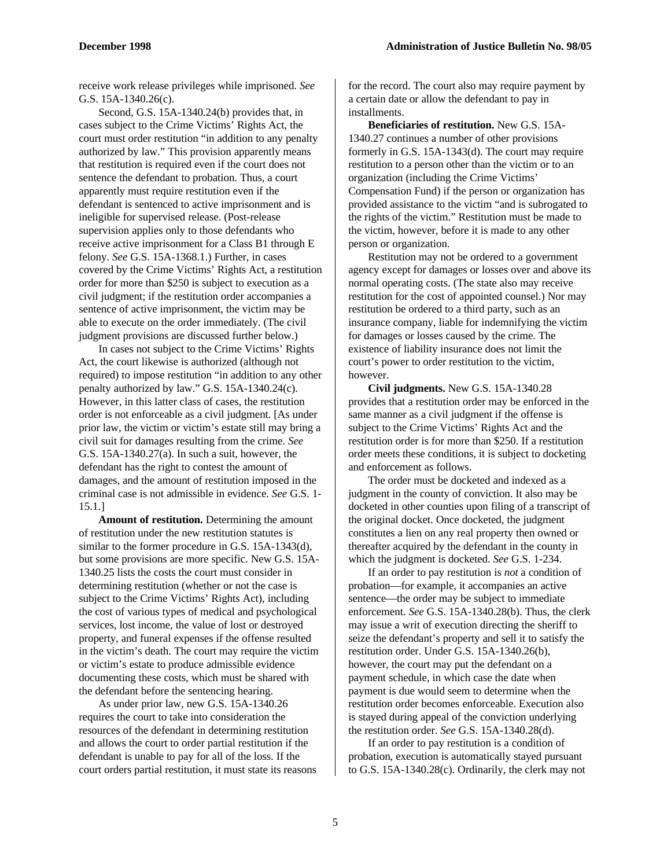receive work release privileges while imprisoned. *See* G.S. 15A-1340.26(c).

Second, G.S. 15A-1340.24(b) provides that, in cases subject to the Crime Victims' Rights Act, the court must order restitution "in addition to any penalty authorized by law." This provision apparently means that restitution is required even if the court does not sentence the defendant to probation. Thus, a court apparently must require restitution even if the defendant is sentenced to active imprisonment and is ineligible for supervised release. (Post-release supervision applies only to those defendants who receive active imprisonment for a Class B1 through E felony. *See* G.S. 15A-1368.1.) Further, in cases covered by the Crime Victims' Rights Act, a restitution order for more than \$250 is subject to execution as a civil judgment; if the restitution order accompanies a sentence of active imprisonment, the victim may be able to execute on the order immediately. (The civil judgment provisions are discussed further below.)

In cases not subject to the Crime Victims' Rights Act, the court likewise is authorized (although not required) to impose restitution "in addition to any other penalty authorized by law." G.S. 15A-1340.24(c). However, in this latter class of cases, the restitution order is not enforceable as a civil judgment. [As under prior law, the victim or victim's estate still may bring a civil suit for damages resulting from the crime. *See* G.S. 15A-1340.27(a). In such a suit, however, the defendant has the right to contest the amount of damages, and the amount of restitution imposed in the criminal case is not admissible in evidence. *See* G.S. 1- 15.1.]

**Amount of restitution.** Determining the amount of restitution under the new restitution statutes is similar to the former procedure in G.S. 15A-1343(d), but some provisions are more specific. New G.S. 15A-1340.25 lists the costs the court must consider in determining restitution (whether or not the case is subject to the Crime Victims' Rights Act), including the cost of various types of medical and psychological services, lost income, the value of lost or destroyed property, and funeral expenses if the offense resulted in the victim's death. The court may require the victim or victim's estate to produce admissible evidence documenting these costs, which must be shared with the defendant before the sentencing hearing.

As under prior law, new G.S. 15A-1340.26 requires the court to take into consideration the resources of the defendant in determining restitution and allows the court to order partial restitution if the defendant is unable to pay for all of the loss. If the court orders partial restitution, it must state its reasons for the record. The court also may require payment by a certain date or allow the defendant to pay in installments.

**Beneficiaries of restitution.** New G.S. 15A-1340.27 continues a number of other provisions formerly in G.S. 15A-1343(d). The court may require restitution to a person other than the victim or to an organization (including the Crime Victims' Compensation Fund) if the person or organization has provided assistance to the victim "and is subrogated to the rights of the victim." Restitution must be made to the victim, however, before it is made to any other person or organization.

Restitution may not be ordered to a government agency except for damages or losses over and above its normal operating costs. (The state also may receive restitution for the cost of appointed counsel.) Nor may restitution be ordered to a third party, such as an insurance company, liable for indemnifying the victim for damages or losses caused by the crime. The existence of liability insurance does not limit the court's power to order restitution to the victim, however.

**Civil judgments.** New G.S. 15A-1340.28 provides that a restitution order may be enforced in the same manner as a civil judgment if the offense is subject to the Crime Victims' Rights Act and the restitution order is for more than \$250. If a restitution order meets these conditions, it is subject to docketing and enforcement as follows.

The order must be docketed and indexed as a judgment in the county of conviction. It also may be docketed in other counties upon filing of a transcript of the original docket. Once docketed, the judgment constitutes a lien on any real property then owned or thereafter acquired by the defendant in the county in which the judgment is docketed. *See* G.S. 1-234.

If an order to pay restitution is *not* a condition of probation—for example, it accompanies an active sentence—the order may be subject to immediate enforcement. *See* G.S. 15A-1340.28(b). Thus, the clerk may issue a writ of execution directing the sheriff to seize the defendant's property and sell it to satisfy the restitution order. Under G.S. 15A-1340.26(b), however, the court may put the defendant on a payment schedule, in which case the date when payment is due would seem to determine when the restitution order becomes enforceable. Execution also is stayed during appeal of the conviction underlying the restitution order. *See* G.S. 15A-1340.28(d).

If an order to pay restitution is a condition of probation, execution is automatically stayed pursuant to G.S. 15A-1340.28(c). Ordinarily, the clerk may not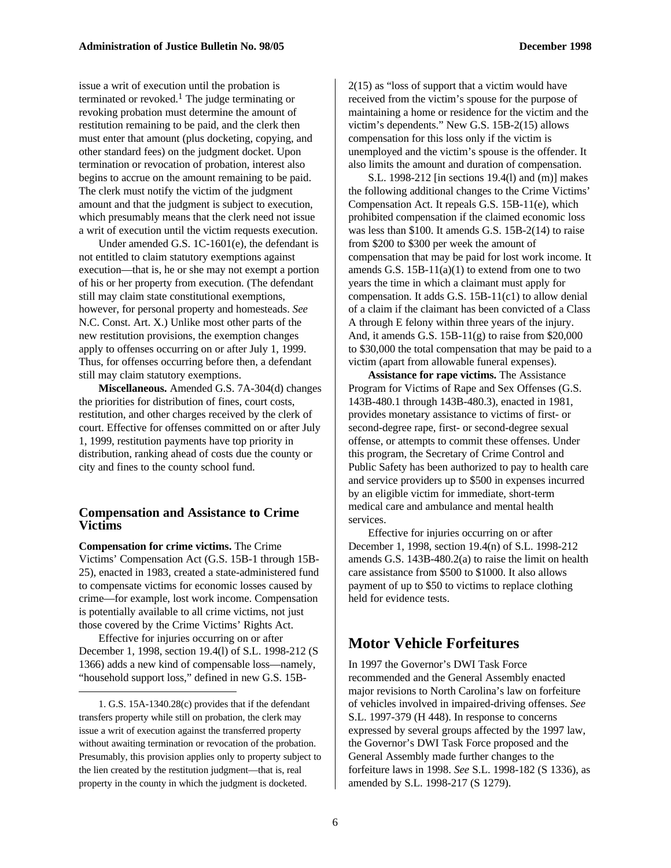issue a writ of execution until the probation is terminated or revoked.<sup>1</sup> The judge terminating or revoking probation must determine the amount of restitution remaining to be paid, and the clerk then must enter that amount (plus docketing, copying, and other standard fees) on the judgment docket. Upon termination or revocation of probation, interest also begins to accrue on the amount remaining to be paid. The clerk must notify the victim of the judgment amount and that the judgment is subject to execution, which presumably means that the clerk need not issue a writ of execution until the victim requests execution.

Under amended G.S. 1C-1601(e), the defendant is not entitled to claim statutory exemptions against execution—that is, he or she may not exempt a portion of his or her property from execution. (The defendant still may claim state constitutional exemptions, however, for personal property and homesteads. *See* N.C. Const. Art. X.) Unlike most other parts of the new restitution provisions, the exemption changes apply to offenses occurring on or after July 1, 1999. Thus, for offenses occurring before then, a defendant still may claim statutory exemptions.

**Miscellaneous.** Amended G.S. 7A-304(d) changes the priorities for distribution of fines, court costs, restitution, and other charges received by the clerk of court. Effective for offenses committed on or after July 1, 1999, restitution payments have top priority in distribution, ranking ahead of costs due the county or city and fines to the county school fund.

#### **Compensation and Assistance to Crime Victims**

**Compensation for crime victims.** The Crime Victims' Compensation Act (G.S. 15B-1 through 15B-25), enacted in 1983, created a state-administered fund to compensate victims for economic losses caused by crime—for example, lost work income. Compensation is potentially available to all crime victims, not just those covered by the Crime Victims' Rights Act.

Effective for injuries occurring on or after December 1, 1998, section 19.4(l) of S.L. 1998-212 (S 1366) adds a new kind of compensable loss—namely, "household support loss," defined in new G.S. 15B-

-

2(15) as "loss of support that a victim would have received from the victim's spouse for the purpose of maintaining a home or residence for the victim and the victim's dependents." New G.S. 15B-2(15) allows compensation for this loss only if the victim is unemployed and the victim's spouse is the offender. It also limits the amount and duration of compensation.

S.L. 1998-212 [in sections 19.4(l) and (m)] makes the following additional changes to the Crime Victims' Compensation Act. It repeals G.S. 15B-11(e), which prohibited compensation if the claimed economic loss was less than \$100. It amends G.S. 15B-2(14) to raise from \$200 to \$300 per week the amount of compensation that may be paid for lost work income. It amends G.S.  $15B-11(a)(1)$  to extend from one to two years the time in which a claimant must apply for compensation. It adds G.S. 15B-11(c1) to allow denial of a claim if the claimant has been convicted of a Class A through E felony within three years of the injury. And, it amends G.S.  $15B-11(g)$  to raise from \$20,000 to \$30,000 the total compensation that may be paid to a victim (apart from allowable funeral expenses).

**Assistance for rape victims.** The Assistance Program for Victims of Rape and Sex Offenses (G.S. 143B-480.1 through 143B-480.3), enacted in 1981, provides monetary assistance to victims of first- or second-degree rape, first- or second-degree sexual offense, or attempts to commit these offenses. Under this program, the Secretary of Crime Control and Public Safety has been authorized to pay to health care and service providers up to \$500 in expenses incurred by an eligible victim for immediate, short-term medical care and ambulance and mental health services.

Effective for injuries occurring on or after December 1, 1998, section 19.4(n) of S.L. 1998-212 amends G.S. 143B-480.2(a) to raise the limit on health care assistance from \$500 to \$1000. It also allows payment of up to \$50 to victims to replace clothing held for evidence tests.

#### **Motor Vehicle Forfeitures**

In 1997 the Governor's DWI Task Force recommended and the General Assembly enacted major revisions to North Carolina's law on forfeiture of vehicles involved in impaired-driving offenses. *See* S.L. 1997-379 (H 448). In response to concerns expressed by several groups affected by the 1997 law, the Governor's DWI Task Force proposed and the General Assembly made further changes to the forfeiture laws in 1998. *See* S.L. 1998-182 (S 1336), as amended by S.L. 1998-217 (S 1279).

<sup>1.</sup> G.S. 15A-1340.28(c) provides that if the defendant transfers property while still on probation, the clerk may issue a writ of execution against the transferred property without awaiting termination or revocation of the probation. Presumably, this provision applies only to property subject to the lien created by the restitution judgment—that is, real property in the county in which the judgment is docketed.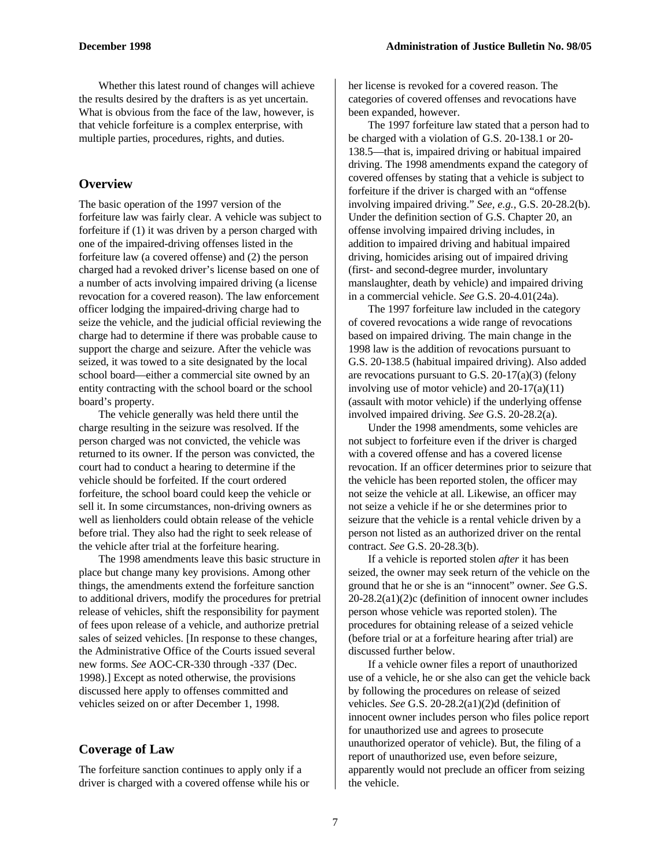Whether this latest round of changes will achieve the results desired by the drafters is as yet uncertain. What is obvious from the face of the law, however, is that vehicle forfeiture is a complex enterprise, with multiple parties, procedures, rights, and duties.

#### **Overview**

The basic operation of the 1997 version of the forfeiture law was fairly clear. A vehicle was subject to forfeiture if (1) it was driven by a person charged with one of the impaired-driving offenses listed in the forfeiture law (a covered offense) and (2) the person charged had a revoked driver's license based on one of a number of acts involving impaired driving (a license revocation for a covered reason). The law enforcement officer lodging the impaired-driving charge had to seize the vehicle, and the judicial official reviewing the charge had to determine if there was probable cause to support the charge and seizure. After the vehicle was seized, it was towed to a site designated by the local school board—either a commercial site owned by an entity contracting with the school board or the school board's property.

The vehicle generally was held there until the charge resulting in the seizure was resolved. If the person charged was not convicted, the vehicle was returned to its owner. If the person was convicted, the court had to conduct a hearing to determine if the vehicle should be forfeited. If the court ordered forfeiture, the school board could keep the vehicle or sell it. In some circumstances, non-driving owners as well as lienholders could obtain release of the vehicle before trial. They also had the right to seek release of the vehicle after trial at the forfeiture hearing.

The 1998 amendments leave this basic structure in place but change many key provisions. Among other things, the amendments extend the forfeiture sanction to additional drivers, modify the procedures for pretrial release of vehicles, shift the responsibility for payment of fees upon release of a vehicle, and authorize pretrial sales of seized vehicles. [In response to these changes, the Administrative Office of the Courts issued several new forms. *See* AOC-CR-330 through -337 (Dec. 1998).] Except as noted otherwise, the provisions discussed here apply to offenses committed and vehicles seized on or after December 1, 1998.

#### **Coverage of Law**

The forfeiture sanction continues to apply only if a driver is charged with a covered offense while his or her license is revoked for a covered reason. The categories of covered offenses and revocations have been expanded, however.

The 1997 forfeiture law stated that a person had to be charged with a violation of G.S. 20-138.1 or 20- 138.5—that is, impaired driving or habitual impaired driving. The 1998 amendments expand the category of covered offenses by stating that a vehicle is subject to forfeiture if the driver is charged with an "offense involving impaired driving." *See, e.g.,* G.S. 20-28.2(b). Under the definition section of G.S. Chapter 20, an offense involving impaired driving includes, in addition to impaired driving and habitual impaired driving, homicides arising out of impaired driving (first- and second-degree murder, involuntary manslaughter, death by vehicle) and impaired driving in a commercial vehicle. *See* G.S. 20-4.01(24a).

The 1997 forfeiture law included in the category of covered revocations a wide range of revocations based on impaired driving. The main change in the 1998 law is the addition of revocations pursuant to G.S. 20-138.5 (habitual impaired driving). Also added are revocations pursuant to G.S.  $20-17(a)(3)$  (felony involving use of motor vehicle) and 20-17(a)(11) (assault with motor vehicle) if the underlying offense involved impaired driving. *See* G.S. 20-28.2(a).

Under the 1998 amendments, some vehicles are not subject to forfeiture even if the driver is charged with a covered offense and has a covered license revocation. If an officer determines prior to seizure that the vehicle has been reported stolen, the officer may not seize the vehicle at all. Likewise, an officer may not seize a vehicle if he or she determines prior to seizure that the vehicle is a rental vehicle driven by a person not listed as an authorized driver on the rental contract. *See* G.S. 20-28.3(b).

If a vehicle is reported stolen *after* it has been seized, the owner may seek return of the vehicle on the ground that he or she is an "innocent" owner. *See* G.S. 20-28.2(a1)(2)c (definition of innocent owner includes person whose vehicle was reported stolen). The procedures for obtaining release of a seized vehicle (before trial or at a forfeiture hearing after trial) are discussed further below.

If a vehicle owner files a report of unauthorized use of a vehicle, he or she also can get the vehicle back by following the procedures on release of seized vehicles. *See* G.S. 20-28.2(a1)(2)d (definition of innocent owner includes person who files police report for unauthorized use and agrees to prosecute unauthorized operator of vehicle). But, the filing of a report of unauthorized use, even before seizure, apparently would not preclude an officer from seizing the vehicle.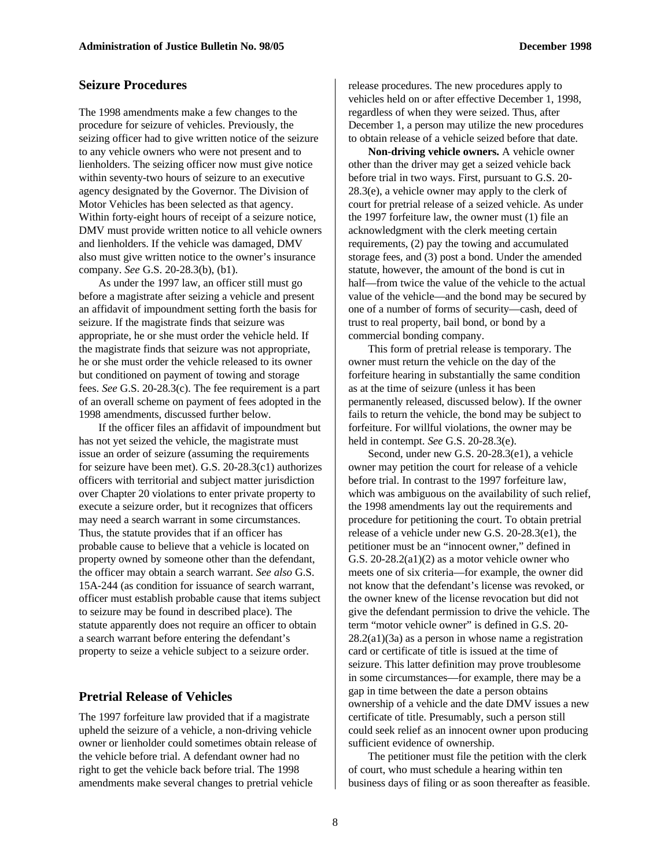#### **Seizure Procedures**

The 1998 amendments make a few changes to the procedure for seizure of vehicles. Previously, the seizing officer had to give written notice of the seizure to any vehicle owners who were not present and to lienholders. The seizing officer now must give notice within seventy-two hours of seizure to an executive agency designated by the Governor. The Division of Motor Vehicles has been selected as that agency. Within forty-eight hours of receipt of a seizure notice, DMV must provide written notice to all vehicle owners and lienholders. If the vehicle was damaged, DMV also must give written notice to the owner's insurance company. *See* G.S. 20-28.3(b), (b1).

As under the 1997 law, an officer still must go before a magistrate after seizing a vehicle and present an affidavit of impoundment setting forth the basis for seizure. If the magistrate finds that seizure was appropriate, he or she must order the vehicle held. If the magistrate finds that seizure was not appropriate, he or she must order the vehicle released to its owner but conditioned on payment of towing and storage fees. *See* G.S. 20-28.3(c). The fee requirement is a part of an overall scheme on payment of fees adopted in the 1998 amendments, discussed further below.

If the officer files an affidavit of impoundment but has not yet seized the vehicle, the magistrate must issue an order of seizure (assuming the requirements for seizure have been met). G.S. 20-28.3(c1) authorizes officers with territorial and subject matter jurisdiction over Chapter 20 violations to enter private property to execute a seizure order, but it recognizes that officers may need a search warrant in some circumstances. Thus, the statute provides that if an officer has probable cause to believe that a vehicle is located on property owned by someone other than the defendant, the officer may obtain a search warrant. *See also* G.S. 15A-244 (as condition for issuance of search warrant, officer must establish probable cause that items subject to seizure may be found in described place). The statute apparently does not require an officer to obtain a search warrant before entering the defendant's property to seize a vehicle subject to a seizure order.

#### **Pretrial Release of Vehicles**

The 1997 forfeiture law provided that if a magistrate upheld the seizure of a vehicle, a non-driving vehicle owner or lienholder could sometimes obtain release of the vehicle before trial. A defendant owner had no right to get the vehicle back before trial. The 1998 amendments make several changes to pretrial vehicle

release procedures. The new procedures apply to vehicles held on or after effective December 1, 1998, regardless of when they were seized. Thus, after December 1, a person may utilize the new procedures to obtain release of a vehicle seized before that date.

**Non-driving vehicle owners.** A vehicle owner other than the driver may get a seized vehicle back before trial in two ways. First, pursuant to G.S. 20- 28.3(e), a vehicle owner may apply to the clerk of court for pretrial release of a seized vehicle. As under the 1997 forfeiture law, the owner must (1) file an acknowledgment with the clerk meeting certain requirements, (2) pay the towing and accumulated storage fees, and (3) post a bond. Under the amended statute, however, the amount of the bond is cut in half—from twice the value of the vehicle to the actual value of the vehicle—and the bond may be secured by one of a number of forms of security—cash, deed of trust to real property, bail bond, or bond by a commercial bonding company.

This form of pretrial release is temporary. The owner must return the vehicle on the day of the forfeiture hearing in substantially the same condition as at the time of seizure (unless it has been permanently released, discussed below). If the owner fails to return the vehicle, the bond may be subject to forfeiture. For willful violations, the owner may be held in contempt. *See* G.S. 20-28.3(e).

Second, under new G.S. 20-28.3(e1), a vehicle owner may petition the court for release of a vehicle before trial. In contrast to the 1997 forfeiture law, which was ambiguous on the availability of such relief, the 1998 amendments lay out the requirements and procedure for petitioning the court. To obtain pretrial release of a vehicle under new G.S. 20-28.3(e1), the petitioner must be an "innocent owner," defined in G.S. 20-28.2(a1)(2) as a motor vehicle owner who meets one of six criteria—for example, the owner did not know that the defendant's license was revoked, or the owner knew of the license revocation but did not give the defendant permission to drive the vehicle. The term "motor vehicle owner" is defined in G.S. 20-  $28.2(a1)(3a)$  as a person in whose name a registration card or certificate of title is issued at the time of seizure. This latter definition may prove troublesome in some circumstances—for example, there may be a gap in time between the date a person obtains ownership of a vehicle and the date DMV issues a new certificate of title. Presumably, such a person still could seek relief as an innocent owner upon producing sufficient evidence of ownership.

The petitioner must file the petition with the clerk of court, who must schedule a hearing within ten business days of filing or as soon thereafter as feasible.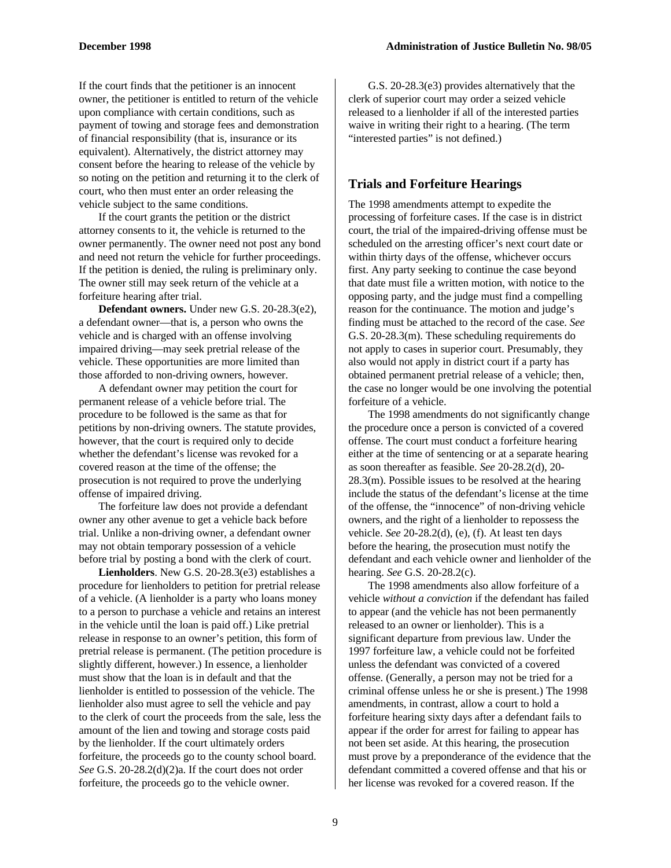If the court finds that the petitioner is an innocent owner, the petitioner is entitled to return of the vehicle upon compliance with certain conditions, such as payment of towing and storage fees and demonstration of financial responsibility (that is, insurance or its equivalent). Alternatively, the district attorney may consent before the hearing to release of the vehicle by so noting on the petition and returning it to the clerk of court, who then must enter an order releasing the vehicle subject to the same conditions.

If the court grants the petition or the district attorney consents to it, the vehicle is returned to the owner permanently. The owner need not post any bond and need not return the vehicle for further proceedings. If the petition is denied, the ruling is preliminary only. The owner still may seek return of the vehicle at a forfeiture hearing after trial.

**Defendant owners.** Under new G.S. 20-28.3(e2), a defendant owner—that is, a person who owns the vehicle and is charged with an offense involving impaired driving—may seek pretrial release of the vehicle. These opportunities are more limited than those afforded to non-driving owners, however.

A defendant owner may petition the court for permanent release of a vehicle before trial. The procedure to be followed is the same as that for petitions by non-driving owners. The statute provides, however, that the court is required only to decide whether the defendant's license was revoked for a covered reason at the time of the offense; the prosecution is not required to prove the underlying offense of impaired driving.

The forfeiture law does not provide a defendant owner any other avenue to get a vehicle back before trial. Unlike a non-driving owner, a defendant owner may not obtain temporary possession of a vehicle before trial by posting a bond with the clerk of court.

**Lienholders**. New G.S. 20-28.3(e3) establishes a procedure for lienholders to petition for pretrial release of a vehicle. (A lienholder is a party who loans money to a person to purchase a vehicle and retains an interest in the vehicle until the loan is paid off.) Like pretrial release in response to an owner's petition, this form of pretrial release is permanent. (The petition procedure is slightly different, however.) In essence, a lienholder must show that the loan is in default and that the lienholder is entitled to possession of the vehicle. The lienholder also must agree to sell the vehicle and pay to the clerk of court the proceeds from the sale, less the amount of the lien and towing and storage costs paid by the lienholder. If the court ultimately orders forfeiture, the proceeds go to the county school board. *See* G.S. 20-28.2(d)(2)a. If the court does not order forfeiture, the proceeds go to the vehicle owner.

G.S. 20-28.3(e3) provides alternatively that the clerk of superior court may order a seized vehicle released to a lienholder if all of the interested parties waive in writing their right to a hearing. (The term "interested parties" is not defined.)

#### **Trials and Forfeiture Hearings**

The 1998 amendments attempt to expedite the processing of forfeiture cases. If the case is in district court, the trial of the impaired-driving offense must be scheduled on the arresting officer's next court date or within thirty days of the offense, whichever occurs first. Any party seeking to continue the case beyond that date must file a written motion, with notice to the opposing party, and the judge must find a compelling reason for the continuance. The motion and judge's finding must be attached to the record of the case. *See* G.S. 20-28.3(m). These scheduling requirements do not apply to cases in superior court. Presumably, they also would not apply in district court if a party has obtained permanent pretrial release of a vehicle; then, the case no longer would be one involving the potential forfeiture of a vehicle.

The 1998 amendments do not significantly change the procedure once a person is convicted of a covered offense. The court must conduct a forfeiture hearing either at the time of sentencing or at a separate hearing as soon thereafter as feasible. *See* 20-28.2(d), 20- 28.3(m). Possible issues to be resolved at the hearing include the status of the defendant's license at the time of the offense, the "innocence" of non-driving vehicle owners, and the right of a lienholder to repossess the vehicle. *See* 20-28.2(d), (e), (f). At least ten days before the hearing, the prosecution must notify the defendant and each vehicle owner and lienholder of the hearing. *See* G.S. 20-28.2(c).

The 1998 amendments also allow forfeiture of a vehicle *without a conviction* if the defendant has failed to appear (and the vehicle has not been permanently released to an owner or lienholder). This is a significant departure from previous law. Under the 1997 forfeiture law, a vehicle could not be forfeited unless the defendant was convicted of a covered offense. (Generally, a person may not be tried for a criminal offense unless he or she is present.) The 1998 amendments, in contrast, allow a court to hold a forfeiture hearing sixty days after a defendant fails to appear if the order for arrest for failing to appear has not been set aside. At this hearing, the prosecution must prove by a preponderance of the evidence that the defendant committed a covered offense and that his or her license was revoked for a covered reason. If the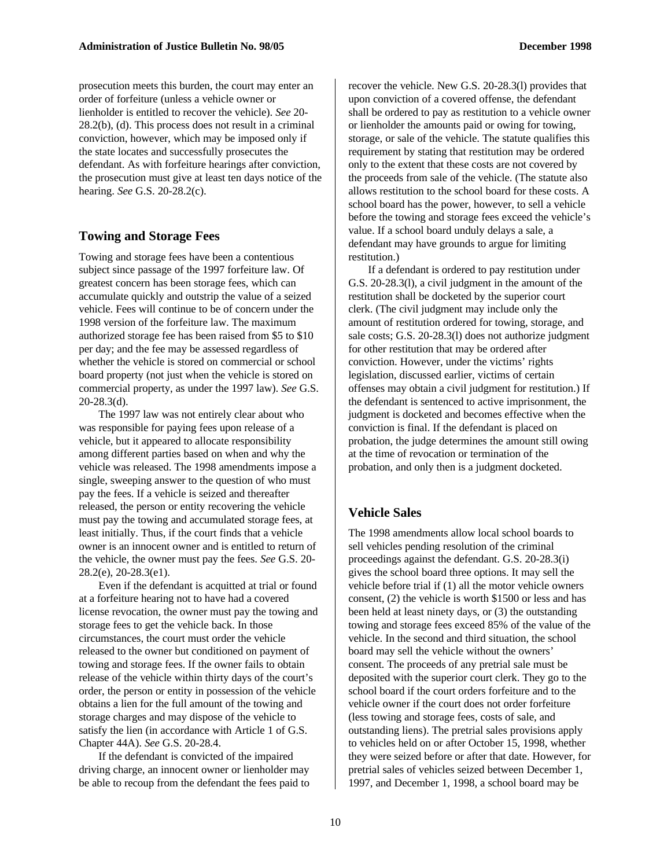prosecution meets this burden, the court may enter an order of forfeiture (unless a vehicle owner or lienholder is entitled to recover the vehicle). *See* 20- 28.2(b), (d). This process does not result in a criminal conviction, however, which may be imposed only if the state locates and successfully prosecutes the defendant. As with forfeiture hearings after conviction, the prosecution must give at least ten days notice of the hearing. *See* G.S. 20-28.2(c).

#### **Towing and Storage Fees**

Towing and storage fees have been a contentious subject since passage of the 1997 forfeiture law. Of greatest concern has been storage fees, which can accumulate quickly and outstrip the value of a seized vehicle. Fees will continue to be of concern under the 1998 version of the forfeiture law. The maximum authorized storage fee has been raised from \$5 to \$10 per day; and the fee may be assessed regardless of whether the vehicle is stored on commercial or school board property (not just when the vehicle is stored on commercial property, as under the 1997 law). *See* G.S. 20-28.3(d).

The 1997 law was not entirely clear about who was responsible for paying fees upon release of a vehicle, but it appeared to allocate responsibility among different parties based on when and why the vehicle was released. The 1998 amendments impose a single, sweeping answer to the question of who must pay the fees. If a vehicle is seized and thereafter released, the person or entity recovering the vehicle must pay the towing and accumulated storage fees, at least initially. Thus, if the court finds that a vehicle owner is an innocent owner and is entitled to return of the vehicle, the owner must pay the fees. *See* G.S. 20- 28.2(e), 20-28.3(e1).

Even if the defendant is acquitted at trial or found at a forfeiture hearing not to have had a covered license revocation, the owner must pay the towing and storage fees to get the vehicle back. In those circumstances, the court must order the vehicle released to the owner but conditioned on payment of towing and storage fees. If the owner fails to obtain release of the vehicle within thirty days of the court's order, the person or entity in possession of the vehicle obtains a lien for the full amount of the towing and storage charges and may dispose of the vehicle to satisfy the lien (in accordance with Article 1 of G.S. Chapter 44A). *See* G.S. 20-28.4.

If the defendant is convicted of the impaired driving charge, an innocent owner or lienholder may be able to recoup from the defendant the fees paid to

recover the vehicle. New G.S. 20-28.3(l) provides that upon conviction of a covered offense, the defendant shall be ordered to pay as restitution to a vehicle owner or lienholder the amounts paid or owing for towing, storage, or sale of the vehicle. The statute qualifies this requirement by stating that restitution may be ordered only to the extent that these costs are not covered by the proceeds from sale of the vehicle. (The statute also allows restitution to the school board for these costs. A school board has the power, however, to sell a vehicle before the towing and storage fees exceed the vehicle's value. If a school board unduly delays a sale, a defendant may have grounds to argue for limiting restitution.)

If a defendant is ordered to pay restitution under G.S. 20-28.3(l), a civil judgment in the amount of the restitution shall be docketed by the superior court clerk. (The civil judgment may include only the amount of restitution ordered for towing, storage, and sale costs; G.S. 20-28.3(l) does not authorize judgment for other restitution that may be ordered after conviction. However, under the victims' rights legislation, discussed earlier, victims of certain offenses may obtain a civil judgment for restitution.) If the defendant is sentenced to active imprisonment, the judgment is docketed and becomes effective when the conviction is final. If the defendant is placed on probation, the judge determines the amount still owing at the time of revocation or termination of the probation, and only then is a judgment docketed.

#### **Vehicle Sales**

The 1998 amendments allow local school boards to sell vehicles pending resolution of the criminal proceedings against the defendant. G.S. 20-28.3(i) gives the school board three options. It may sell the vehicle before trial if (1) all the motor vehicle owners consent, (2) the vehicle is worth \$1500 or less and has been held at least ninety days, or (3) the outstanding towing and storage fees exceed 85% of the value of the vehicle. In the second and third situation, the school board may sell the vehicle without the owners' consent. The proceeds of any pretrial sale must be deposited with the superior court clerk. They go to the school board if the court orders forfeiture and to the vehicle owner if the court does not order forfeiture (less towing and storage fees, costs of sale, and outstanding liens). The pretrial sales provisions apply to vehicles held on or after October 15, 1998, whether they were seized before or after that date. However, for pretrial sales of vehicles seized between December 1, 1997, and December 1, 1998, a school board may be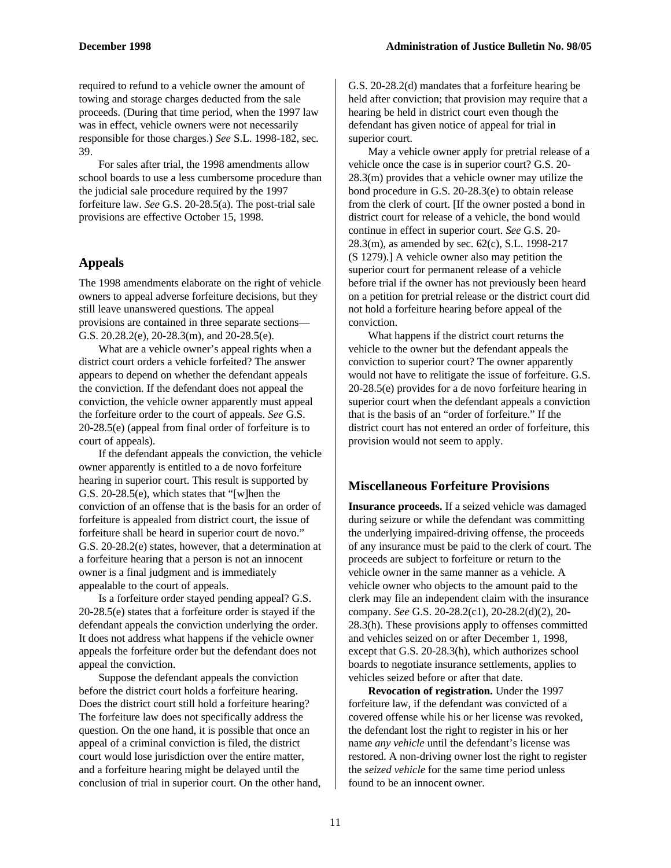required to refund to a vehicle owner the amount of towing and storage charges deducted from the sale proceeds. (During that time period, when the 1997 law was in effect, vehicle owners were not necessarily responsible for those charges.) *See* S.L. 1998-182, sec. 39.

For sales after trial, the 1998 amendments allow school boards to use a less cumbersome procedure than the judicial sale procedure required by the 1997 forfeiture law. *See* G.S. 20-28.5(a). The post-trial sale provisions are effective October 15, 1998.

#### **Appeals**

The 1998 amendments elaborate on the right of vehicle owners to appeal adverse forfeiture decisions, but they still leave unanswered questions. The appeal provisions are contained in three separate sections— G.S. 20.28.2(e), 20-28.3(m), and 20-28.5(e).

What are a vehicle owner's appeal rights when a district court orders a vehicle forfeited? The answer appears to depend on whether the defendant appeals the conviction. If the defendant does not appeal the conviction, the vehicle owner apparently must appeal the forfeiture order to the court of appeals. *See* G.S. 20-28.5(e) (appeal from final order of forfeiture is to court of appeals).

If the defendant appeals the conviction, the vehicle owner apparently is entitled to a de novo forfeiture hearing in superior court. This result is supported by G.S. 20-28.5(e), which states that "[w]hen the conviction of an offense that is the basis for an order of forfeiture is appealed from district court, the issue of forfeiture shall be heard in superior court de novo." G.S. 20-28.2(e) states, however, that a determination at a forfeiture hearing that a person is not an innocent owner is a final judgment and is immediately appealable to the court of appeals.

Is a forfeiture order stayed pending appeal? G.S. 20-28.5(e) states that a forfeiture order is stayed if the defendant appeals the conviction underlying the order. It does not address what happens if the vehicle owner appeals the forfeiture order but the defendant does not appeal the conviction.

Suppose the defendant appeals the conviction before the district court holds a forfeiture hearing. Does the district court still hold a forfeiture hearing? The forfeiture law does not specifically address the question. On the one hand, it is possible that once an appeal of a criminal conviction is filed, the district court would lose jurisdiction over the entire matter, and a forfeiture hearing might be delayed until the conclusion of trial in superior court. On the other hand, G.S. 20-28.2(d) mandates that a forfeiture hearing be held after conviction; that provision may require that a hearing be held in district court even though the defendant has given notice of appeal for trial in superior court.

May a vehicle owner apply for pretrial release of a vehicle once the case is in superior court? G.S. 20- 28.3(m) provides that a vehicle owner may utilize the bond procedure in G.S. 20-28.3(e) to obtain release from the clerk of court. [If the owner posted a bond in district court for release of a vehicle, the bond would continue in effect in superior court. *See* G.S. 20- 28.3(m), as amended by sec. 62(c), S.L. 1998-217 (S 1279).] A vehicle owner also may petition the superior court for permanent release of a vehicle before trial if the owner has not previously been heard on a petition for pretrial release or the district court did not hold a forfeiture hearing before appeal of the conviction.

What happens if the district court returns the vehicle to the owner but the defendant appeals the conviction to superior court? The owner apparently would not have to relitigate the issue of forfeiture. G.S. 20-28.5(e) provides for a de novo forfeiture hearing in superior court when the defendant appeals a conviction that is the basis of an "order of forfeiture." If the district court has not entered an order of forfeiture, this provision would not seem to apply.

#### **Miscellaneous Forfeiture Provisions**

**Insurance proceeds.** If a seized vehicle was damaged during seizure or while the defendant was committing the underlying impaired-driving offense, the proceeds of any insurance must be paid to the clerk of court. The proceeds are subject to forfeiture or return to the vehicle owner in the same manner as a vehicle. A vehicle owner who objects to the amount paid to the clerk may file an independent claim with the insurance company. *See* G.S. 20-28.2(c1), 20-28.2(d)(2), 20- 28.3(h). These provisions apply to offenses committed and vehicles seized on or after December 1, 1998, except that G.S. 20-28.3(h), which authorizes school boards to negotiate insurance settlements, applies to vehicles seized before or after that date.

**Revocation of registration.** Under the 1997 forfeiture law, if the defendant was convicted of a covered offense while his or her license was revoked, the defendant lost the right to register in his or her name *any vehicle* until the defendant's license was restored. A non-driving owner lost the right to register the *seized vehicle* for the same time period unless found to be an innocent owner.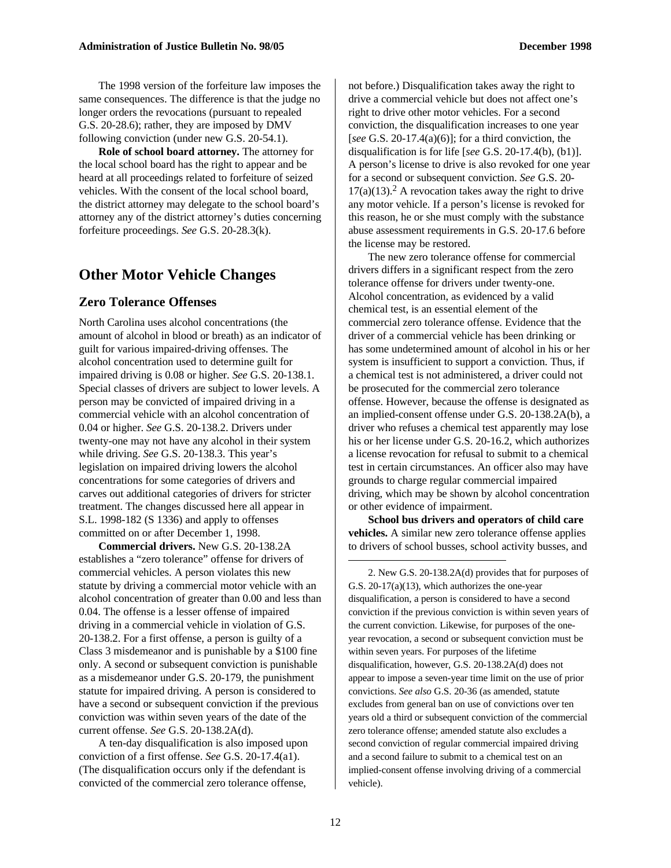The 1998 version of the forfeiture law imposes the same consequences. The difference is that the judge no longer orders the revocations (pursuant to repealed G.S. 20-28.6); rather, they are imposed by DMV following conviction (under new G.S. 20-54.1).

**Role of school board attorney.** The attorney for the local school board has the right to appear and be heard at all proceedings related to forfeiture of seized vehicles. With the consent of the local school board, the district attorney may delegate to the school board's attorney any of the district attorney's duties concerning forfeiture proceedings. *See* G.S. 20-28.3(k).

#### **Other Motor Vehicle Changes**

#### **Zero Tolerance Offenses**

North Carolina uses alcohol concentrations (the amount of alcohol in blood or breath) as an indicator of guilt for various impaired-driving offenses. The alcohol concentration used to determine guilt for impaired driving is 0.08 or higher. *See* G.S. 20-138.1. Special classes of drivers are subject to lower levels. A person may be convicted of impaired driving in a commercial vehicle with an alcohol concentration of 0.04 or higher. *See* G.S. 20-138.2. Drivers under twenty-one may not have any alcohol in their system while driving. *See* G.S. 20-138.3. This year's legislation on impaired driving lowers the alcohol concentrations for some categories of drivers and carves out additional categories of drivers for stricter treatment. The changes discussed here all appear in S.L. 1998-182 (S 1336) and apply to offenses committed on or after December 1, 1998.

**Commercial drivers.** New G.S. 20-138.2A establishes a "zero tolerance" offense for drivers of commercial vehicles. A person violates this new statute by driving a commercial motor vehicle with an alcohol concentration of greater than 0.00 and less than 0.04. The offense is a lesser offense of impaired driving in a commercial vehicle in violation of G.S. 20-138.2. For a first offense, a person is guilty of a Class 3 misdemeanor and is punishable by a \$100 fine only. A second or subsequent conviction is punishable as a misdemeanor under G.S. 20-179, the punishment statute for impaired driving. A person is considered to have a second or subsequent conviction if the previous conviction was within seven years of the date of the current offense. *See* G.S. 20-138.2A(d).

A ten-day disqualification is also imposed upon conviction of a first offense. *See* G.S. 20-17.4(a1). (The disqualification occurs only if the defendant is convicted of the commercial zero tolerance offense,

not before.) Disqualification takes away the right to drive a commercial vehicle but does not affect one's right to drive other motor vehicles. For a second conviction, the disqualification increases to one year [*see* G.S. 20-17.4(a)(6)]; for a third conviction, the disqualification is for life [*see* G.S. 20-17.4(b), (b1)]. A person's license to drive is also revoked for one year for a second or subsequent conviction. *See* G.S. 20-  $17(a)(13)$ .<sup>2</sup> A revocation takes away the right to drive any motor vehicle. If a person's license is revoked for this reason, he or she must comply with the substance abuse assessment requirements in G.S. 20-17.6 before the license may be restored.

The new zero tolerance offense for commercial drivers differs in a significant respect from the zero tolerance offense for drivers under twenty-one. Alcohol concentration, as evidenced by a valid chemical test, is an essential element of the commercial zero tolerance offense. Evidence that the driver of a commercial vehicle has been drinking or has some undetermined amount of alcohol in his or her system is insufficient to support a conviction. Thus, if a chemical test is not administered, a driver could not be prosecuted for the commercial zero tolerance offense. However, because the offense is designated as an implied-consent offense under G.S. 20-138.2A(b), a driver who refuses a chemical test apparently may lose his or her license under G.S. 20-16.2, which authorizes a license revocation for refusal to submit to a chemical test in certain circumstances. An officer also may have grounds to charge regular commercial impaired driving, which may be shown by alcohol concentration or other evidence of impairment.

**School bus drivers and operators of child care vehicles.** A similar new zero tolerance offense applies to drivers of school busses, school activity busses, and  $\overline{a}$ 

2. New G.S. 20-138.2A(d) provides that for purposes of G.S. 20-17(a)(13), which authorizes the one-year disqualification, a person is considered to have a second conviction if the previous conviction is within seven years of the current conviction. Likewise, for purposes of the oneyear revocation, a second or subsequent conviction must be within seven years. For purposes of the lifetime disqualification, however, G.S. 20-138.2A(d) does not appear to impose a seven-year time limit on the use of prior convictions. *See also* G.S. 20-36 (as amended, statute excludes from general ban on use of convictions over ten years old a third or subsequent conviction of the commercial zero tolerance offense; amended statute also excludes a second conviction of regular commercial impaired driving and a second failure to submit to a chemical test on an implied-consent offense involving driving of a commercial vehicle).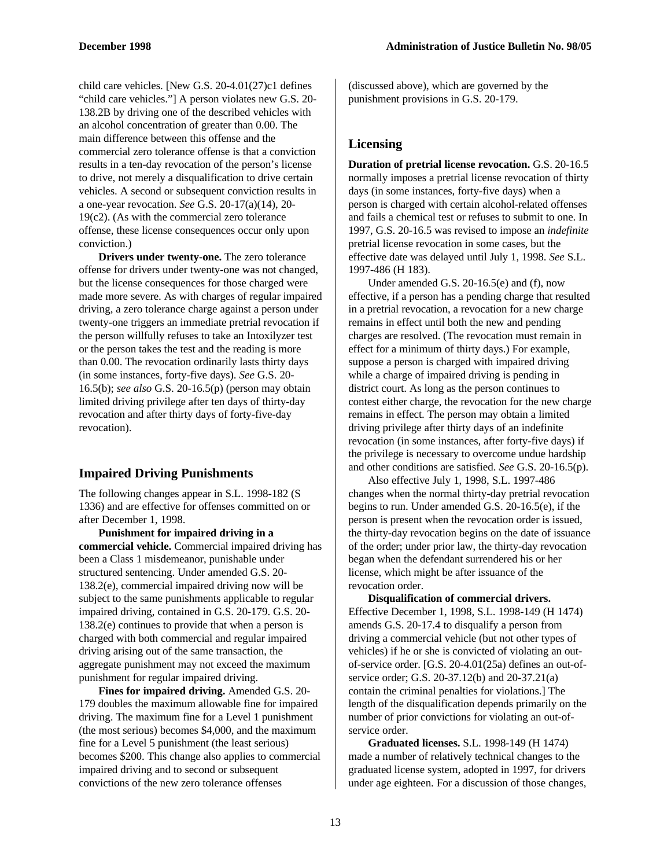child care vehicles. [New G.S. 20-4.01(27)c1 defines "child care vehicles."] A person violates new G.S. 20- 138.2B by driving one of the described vehicles with an alcohol concentration of greater than 0.00. The main difference between this offense and the commercial zero tolerance offense is that a conviction results in a ten-day revocation of the person's license to drive, not merely a disqualification to drive certain vehicles. A second or subsequent conviction results in a one-year revocation. *See* G.S. 20-17(a)(14), 20- 19(c2). (As with the commercial zero tolerance offense, these license consequences occur only upon conviction.)

**Drivers under twenty-one.** The zero tolerance offense for drivers under twenty-one was not changed, but the license consequences for those charged were made more severe. As with charges of regular impaired driving, a zero tolerance charge against a person under twenty-one triggers an immediate pretrial revocation if the person willfully refuses to take an Intoxilyzer test or the person takes the test and the reading is more than 0.00. The revocation ordinarily lasts thirty days (in some instances, forty-five days). *See* G.S. 20- 16.5(b); *see also* G.S. 20-16.5(p) (person may obtain limited driving privilege after ten days of thirty-day revocation and after thirty days of forty-five-day revocation).

#### **Impaired Driving Punishments**

The following changes appear in S.L. 1998-182 (S 1336) and are effective for offenses committed on or after December 1, 1998.

**Punishment for impaired driving in a commercial vehicle.** Commercial impaired driving has been a Class 1 misdemeanor, punishable under structured sentencing. Under amended G.S. 20- 138.2(e), commercial impaired driving now will be subject to the same punishments applicable to regular impaired driving, contained in G.S. 20-179. G.S. 20- 138.2(e) continues to provide that when a person is charged with both commercial and regular impaired driving arising out of the same transaction, the aggregate punishment may not exceed the maximum punishment for regular impaired driving.

**Fines for impaired driving.** Amended G.S. 20- 179 doubles the maximum allowable fine for impaired driving. The maximum fine for a Level 1 punishment (the most serious) becomes \$4,000, and the maximum fine for a Level 5 punishment (the least serious) becomes \$200. This change also applies to commercial impaired driving and to second or subsequent convictions of the new zero tolerance offenses

(discussed above), which are governed by the punishment provisions in G.S. 20-179.

#### **Licensing**

**Duration of pretrial license revocation.** G.S. 20-16.5 normally imposes a pretrial license revocation of thirty days (in some instances, forty-five days) when a person is charged with certain alcohol-related offenses and fails a chemical test or refuses to submit to one. In 1997, G.S. 20-16.5 was revised to impose an *indefinite* pretrial license revocation in some cases, but the effective date was delayed until July 1, 1998. *See* S.L. 1997-486 (H 183).

Under amended G.S. 20-16.5(e) and (f), now effective, if a person has a pending charge that resulted in a pretrial revocation, a revocation for a new charge remains in effect until both the new and pending charges are resolved. (The revocation must remain in effect for a minimum of thirty days.) For example, suppose a person is charged with impaired driving while a charge of impaired driving is pending in district court. As long as the person continues to contest either charge, the revocation for the new charge remains in effect. The person may obtain a limited driving privilege after thirty days of an indefinite revocation (in some instances, after forty-five days) if the privilege is necessary to overcome undue hardship and other conditions are satisfied. *See* G.S. 20-16.5(p).

Also effective July 1, 1998, S.L. 1997-486 changes when the normal thirty-day pretrial revocation begins to run. Under amended G.S. 20-16.5(e), if the person is present when the revocation order is issued, the thirty-day revocation begins on the date of issuance of the order; under prior law, the thirty-day revocation began when the defendant surrendered his or her license, which might be after issuance of the revocation order.

**Disqualification of commercial drivers.** Effective December 1, 1998, S.L. 1998-149 (H 1474) amends G.S. 20-17.4 to disqualify a person from driving a commercial vehicle (but not other types of vehicles) if he or she is convicted of violating an outof-service order. [G.S. 20-4.01(25a) defines an out-ofservice order; G.S. 20-37.12(b) and 20-37.21(a) contain the criminal penalties for violations.] The length of the disqualification depends primarily on the number of prior convictions for violating an out-ofservice order.

**Graduated licenses.** S.L. 1998-149 (H 1474) made a number of relatively technical changes to the graduated license system, adopted in 1997, for drivers under age eighteen. For a discussion of those changes,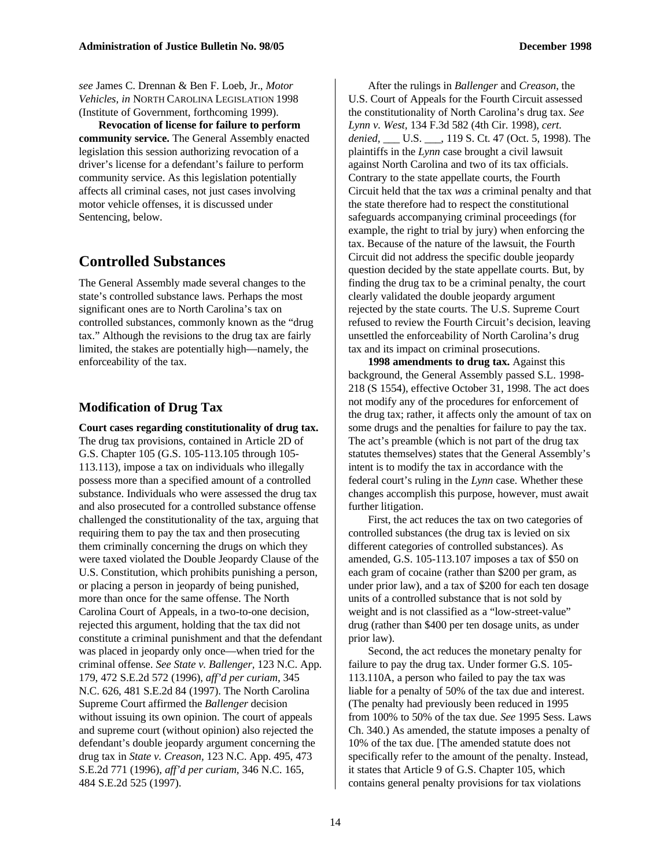*see* James C. Drennan & Ben F. Loeb, Jr., *Motor Vehicles, in* NORTH CAROLINA LEGISLATION 1998 (Institute of Government, forthcoming 1999).

**Revocation of license for failure to perform community service.** The General Assembly enacted legislation this session authorizing revocation of a driver's license for a defendant's failure to perform community service. As this legislation potentially affects all criminal cases, not just cases involving motor vehicle offenses, it is discussed under Sentencing, below.

#### **Controlled Substances**

The General Assembly made several changes to the state's controlled substance laws. Perhaps the most significant ones are to North Carolina's tax on controlled substances, commonly known as the "drug tax." Although the revisions to the drug tax are fairly limited, the stakes are potentially high—namely, the enforceability of the tax.

#### **Modification of Drug Tax**

**Court cases regarding constitutionality of drug tax.** The drug tax provisions, contained in Article 2D of G.S. Chapter 105 (G.S. 105-113.105 through 105- 113.113), impose a tax on individuals who illegally possess more than a specified amount of a controlled substance. Individuals who were assessed the drug tax and also prosecuted for a controlled substance offense challenged the constitutionality of the tax, arguing that requiring them to pay the tax and then prosecuting them criminally concerning the drugs on which they were taxed violated the Double Jeopardy Clause of the U.S. Constitution, which prohibits punishing a person, or placing a person in jeopardy of being punished, more than once for the same offense. The North Carolina Court of Appeals, in a two-to-one decision, rejected this argument, holding that the tax did not constitute a criminal punishment and that the defendant was placed in jeopardy only once—when tried for the criminal offense. *See State v. Ballenger,* 123 N.C. App. 179, 472 S.E.2d 572 (1996), *aff'd per curiam,* 345 N.C. 626, 481 S.E.2d 84 (1997). The North Carolina Supreme Court affirmed the *Ballenger* decision without issuing its own opinion. The court of appeals and supreme court (without opinion) also rejected the defendant's double jeopardy argument concerning the drug tax in *State v. Creason,* 123 N.C. App. 495, 473 S.E.2d 771 (1996), *aff'd per curiam,* 346 N.C. 165, 484 S.E.2d 525 (1997).

After the rulings in *Ballenger* and *Creason*, the U.S. Court of Appeals for the Fourth Circuit assessed the constitutionality of North Carolina's drug tax. *See Lynn v. West,* 134 F.3d 582 (4th Cir. 1998), *cert. denied,* \_\_\_ U.S. \_\_\_, 119 S. Ct. 47 (Oct. 5, 1998). The plaintiffs in the *Lynn* case brought a civil lawsuit against North Carolina and two of its tax officials. Contrary to the state appellate courts, the Fourth Circuit held that the tax *was* a criminal penalty and that the state therefore had to respect the constitutional safeguards accompanying criminal proceedings (for example, the right to trial by jury) when enforcing the tax. Because of the nature of the lawsuit, the Fourth Circuit did not address the specific double jeopardy question decided by the state appellate courts. But, by finding the drug tax to be a criminal penalty, the court clearly validated the double jeopardy argument rejected by the state courts. The U.S. Supreme Court refused to review the Fourth Circuit's decision, leaving unsettled the enforceability of North Carolina's drug tax and its impact on criminal prosecutions.

**1998 amendments to drug tax.** Against this background, the General Assembly passed S.L. 1998- 218 (S 1554), effective October 31, 1998. The act does not modify any of the procedures for enforcement of the drug tax; rather, it affects only the amount of tax on some drugs and the penalties for failure to pay the tax. The act's preamble (which is not part of the drug tax statutes themselves) states that the General Assembly's intent is to modify the tax in accordance with the federal court's ruling in the *Lynn* case. Whether these changes accomplish this purpose, however, must await further litigation.

First, the act reduces the tax on two categories of controlled substances (the drug tax is levied on six different categories of controlled substances). As amended, G.S. 105-113.107 imposes a tax of \$50 on each gram of cocaine (rather than \$200 per gram, as under prior law), and a tax of \$200 for each ten dosage units of a controlled substance that is not sold by weight and is not classified as a "low-street-value" drug (rather than \$400 per ten dosage units, as under prior law).

Second, the act reduces the monetary penalty for failure to pay the drug tax. Under former G.S. 105- 113.110A, a person who failed to pay the tax was liable for a penalty of 50% of the tax due and interest. (The penalty had previously been reduced in 1995 from 100% to 50% of the tax due. *See* 1995 Sess. Laws Ch. 340.) As amended, the statute imposes a penalty of 10% of the tax due. [The amended statute does not specifically refer to the amount of the penalty. Instead, it states that Article 9 of G.S. Chapter 105, which contains general penalty provisions for tax violations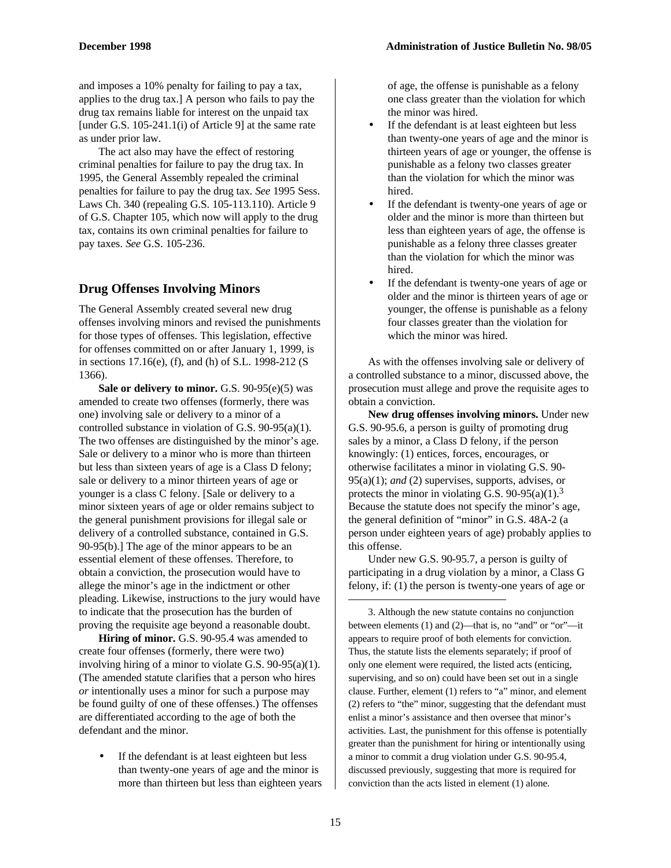and imposes a 10% penalty for failing to pay a tax, applies to the drug tax.] A person who fails to pay the drug tax remains liable for interest on the unpaid tax [under G.S. 105-241.1(i) of Article 9] at the same rate as under prior law.

The act also may have the effect of restoring criminal penalties for failure to pay the drug tax. In 1995, the General Assembly repealed the criminal penalties for failure to pay the drug tax. *See* 1995 Sess. Laws Ch. 340 (repealing G.S. 105-113.110). Article 9 of G.S. Chapter 105, which now will apply to the drug tax, contains its own criminal penalties for failure to pay taxes. *See* G.S. 105-236.

#### **Drug Offenses Involving Minors**

The General Assembly created several new drug offenses involving minors and revised the punishments for those types of offenses. This legislation, effective for offenses committed on or after January 1, 1999, is in sections 17.16(e), (f), and (h) of S.L. 1998-212 (S 1366).

**Sale or delivery to minor.** G.S. 90-95(e)(5) was amended to create two offenses (formerly, there was one) involving sale or delivery to a minor of a controlled substance in violation of G.S. 90-95(a)(1). The two offenses are distinguished by the minor's age. Sale or delivery to a minor who is more than thirteen but less than sixteen years of age is a Class D felony; sale or delivery to a minor thirteen years of age or younger is a class C felony. [Sale or delivery to a minor sixteen years of age or older remains subject to the general punishment provisions for illegal sale or delivery of a controlled substance, contained in G.S. 90-95(b).] The age of the minor appears to be an essential element of these offenses. Therefore, to obtain a conviction, the prosecution would have to allege the minor's age in the indictment or other pleading. Likewise, instructions to the jury would have to indicate that the prosecution has the burden of proving the requisite age beyond a reasonable doubt.

**Hiring of minor.** G.S. 90-95.4 was amended to create four offenses (formerly, there were two) involving hiring of a minor to violate G.S. 90-95(a)(1). (The amended statute clarifies that a person who hires *or* intentionally uses a minor for such a purpose may be found guilty of one of these offenses.) The offenses are differentiated according to the age of both the defendant and the minor.

If the defendant is at least eighteen but less than twenty-one years of age and the minor is more than thirteen but less than eighteen years of age, the offense is punishable as a felony one class greater than the violation for which the minor was hired.

- If the defendant is at least eighteen but less than twenty-one years of age and the minor is thirteen years of age or younger, the offense is punishable as a felony two classes greater than the violation for which the minor was hired.
- If the defendant is twenty-one years of age or older and the minor is more than thirteen but less than eighteen years of age, the offense is punishable as a felony three classes greater than the violation for which the minor was hired.
- If the defendant is twenty-one years of age or older and the minor is thirteen years of age or younger, the offense is punishable as a felony four classes greater than the violation for which the minor was hired.

As with the offenses involving sale or delivery of a controlled substance to a minor, discussed above, the prosecution must allege and prove the requisite ages to obtain a conviction.

**New drug offenses involving minors.** Under new G.S. 90-95.6, a person is guilty of promoting drug sales by a minor, a Class D felony, if the person knowingly: (1) entices, forces, encourages, or otherwise facilitates a minor in violating G.S. 90- 95(a)(1); *and* (2) supervises, supports, advises, or protects the minor in violating G.S. 90-95(a)(1).<sup>3</sup> Because the statute does not specify the minor's age, the general definition of "minor" in G.S. 48A-2 (a person under eighteen years of age) probably applies to this offense.

Under new G.S. 90-95.7, a person is guilty of participating in a drug violation by a minor, a Class G felony, if: (1) the person is twenty-one years of age or

3. Although the new statute contains no conjunction between elements (1) and (2)—that is, no "and" or "or"—it appears to require proof of both elements for conviction. Thus, the statute lists the elements separately; if proof of only one element were required, the listed acts (enticing, supervising, and so on) could have been set out in a single clause. Further, element (1) refers to "a" minor, and element (2) refers to "the" minor, suggesting that the defendant must enlist a minor's assistance and then oversee that minor's activities. Last, the punishment for this offense is potentially greater than the punishment for hiring or intentionally using a minor to commit a drug violation under G.S. 90-95.4, discussed previously, suggesting that more is required for conviction than the acts listed in element (1) alone.

 $\overline{a}$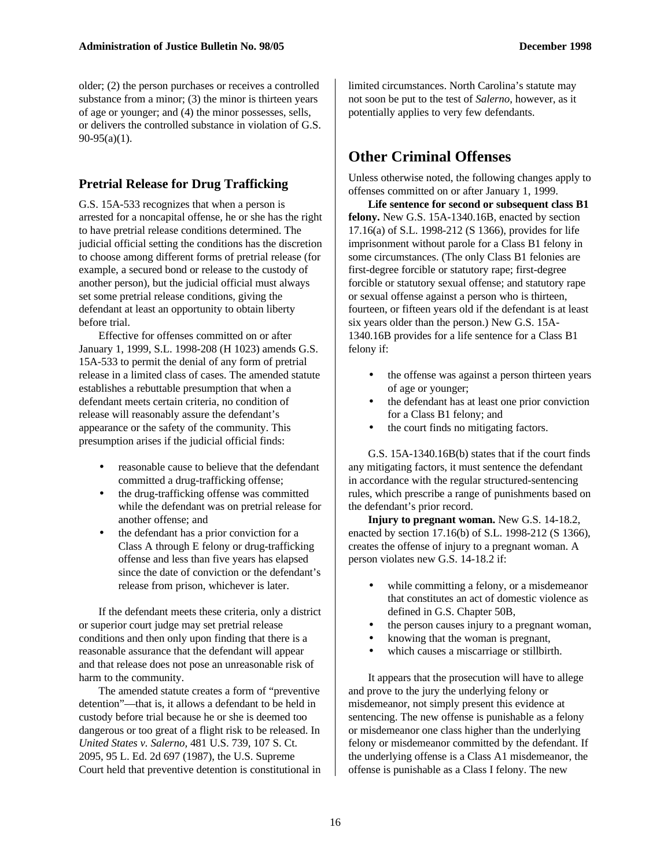older; (2) the person purchases or receives a controlled substance from a minor; (3) the minor is thirteen years of age or younger; and (4) the minor possesses, sells, or delivers the controlled substance in violation of G.S. 90-95(a)(1).

#### **Pretrial Release for Drug Trafficking**

G.S. 15A-533 recognizes that when a person is arrested for a noncapital offense, he or she has the right to have pretrial release conditions determined. The judicial official setting the conditions has the discretion to choose among different forms of pretrial release (for example, a secured bond or release to the custody of another person), but the judicial official must always set some pretrial release conditions, giving the defendant at least an opportunity to obtain liberty before trial.

Effective for offenses committed on or after January 1, 1999, S.L. 1998-208 (H 1023) amends G.S. 15A-533 to permit the denial of any form of pretrial release in a limited class of cases. The amended statute establishes a rebuttable presumption that when a defendant meets certain criteria, no condition of release will reasonably assure the defendant's appearance or the safety of the community. This presumption arises if the judicial official finds:

- reasonable cause to believe that the defendant committed a drug-trafficking offense;
- the drug-trafficking offense was committed while the defendant was on pretrial release for another offense; and
- the defendant has a prior conviction for a Class A through E felony or drug-trafficking offense and less than five years has elapsed since the date of conviction or the defendant's release from prison, whichever is later.

If the defendant meets these criteria, only a district or superior court judge may set pretrial release conditions and then only upon finding that there is a reasonable assurance that the defendant will appear and that release does not pose an unreasonable risk of harm to the community.

The amended statute creates a form of "preventive detention"—that is, it allows a defendant to be held in custody before trial because he or she is deemed too dangerous or too great of a flight risk to be released. In *United States v. Salerno,* 481 U.S. 739, 107 S. Ct. 2095, 95 L. Ed. 2d 697 (1987), the U.S. Supreme Court held that preventive detention is constitutional in limited circumstances. North Carolina's statute may not soon be put to the test of *Salerno*, however, as it potentially applies to very few defendants.

### **Other Criminal Offenses**

Unless otherwise noted, the following changes apply to offenses committed on or after January 1, 1999.

**Life sentence for second or subsequent class B1 felony.** New G.S. 15A-1340.16B, enacted by section 17.16(a) of S.L. 1998-212 (S 1366), provides for life imprisonment without parole for a Class B1 felony in some circumstances. (The only Class B1 felonies are first-degree forcible or statutory rape; first-degree forcible or statutory sexual offense; and statutory rape or sexual offense against a person who is thirteen, fourteen, or fifteen years old if the defendant is at least six years older than the person.) New G.S. 15A-1340.16B provides for a life sentence for a Class B1 felony if:

- the offense was against a person thirteen years of age or younger;
- the defendant has at least one prior conviction for a Class B1 felony; and
- the court finds no mitigating factors.

G.S. 15A-1340.16B(b) states that if the court finds any mitigating factors, it must sentence the defendant in accordance with the regular structured-sentencing rules, which prescribe a range of punishments based on the defendant's prior record.

**Injury to pregnant woman.** New G.S. 14-18.2, enacted by section 17.16(b) of S.L. 1998-212 (S 1366), creates the offense of injury to a pregnant woman. A person violates new G.S. 14-18.2 if:

- while committing a felony, or a misdemeanor that constitutes an act of domestic violence as defined in G.S. Chapter 50B,
- the person causes injury to a pregnant woman,
- knowing that the woman is pregnant,
- which causes a miscarriage or stillbirth.

It appears that the prosecution will have to allege and prove to the jury the underlying felony or misdemeanor, not simply present this evidence at sentencing. The new offense is punishable as a felony or misdemeanor one class higher than the underlying felony or misdemeanor committed by the defendant. If the underlying offense is a Class A1 misdemeanor, the offense is punishable as a Class I felony. The new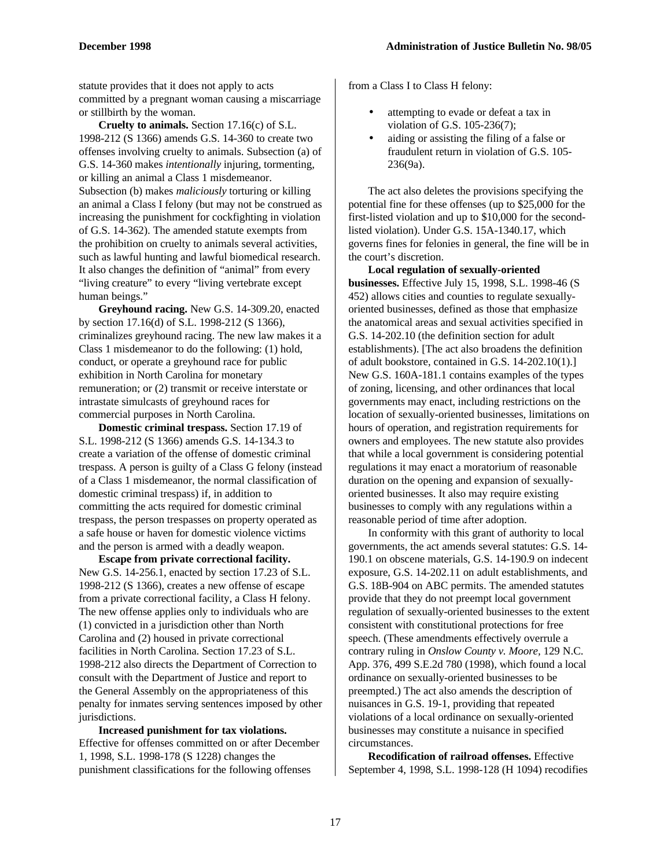statute provides that it does not apply to acts committed by a pregnant woman causing a miscarriage or stillbirth by the woman.

**Cruelty to animals.** Section 17.16(c) of S.L. 1998-212 (S 1366) amends G.S. 14-360 to create two offenses involving cruelty to animals. Subsection (a) of G.S. 14-360 makes *intentionally* injuring, tormenting, or killing an animal a Class 1 misdemeanor. Subsection (b) makes *maliciously* torturing or killing an animal a Class I felony (but may not be construed as increasing the punishment for cockfighting in violation of G.S. 14-362). The amended statute exempts from the prohibition on cruelty to animals several activities, such as lawful hunting and lawful biomedical research. It also changes the definition of "animal" from every "living creature" to every "living vertebrate except human beings."

**Greyhound racing.** New G.S. 14-309.20, enacted by section 17.16(d) of S.L. 1998-212 (S 1366), criminalizes greyhound racing. The new law makes it a Class 1 misdemeanor to do the following: (1) hold, conduct, or operate a greyhound race for public exhibition in North Carolina for monetary remuneration; or (2) transmit or receive interstate or intrastate simulcasts of greyhound races for commercial purposes in North Carolina.

**Domestic criminal trespass.** Section 17.19 of S.L. 1998-212 (S 1366) amends G.S. 14-134.3 to create a variation of the offense of domestic criminal trespass. A person is guilty of a Class G felony (instead of a Class 1 misdemeanor, the normal classification of domestic criminal trespass) if, in addition to committing the acts required for domestic criminal trespass, the person trespasses on property operated as a safe house or haven for domestic violence victims and the person is armed with a deadly weapon.

**Escape from private correctional facility.** New G.S. 14-256.1, enacted by section 17.23 of S.L. 1998-212 (S 1366), creates a new offense of escape from a private correctional facility, a Class H felony. The new offense applies only to individuals who are (1) convicted in a jurisdiction other than North Carolina and (2) housed in private correctional facilities in North Carolina. Section 17.23 of S.L. 1998-212 also directs the Department of Correction to consult with the Department of Justice and report to the General Assembly on the appropriateness of this penalty for inmates serving sentences imposed by other jurisdictions.

**Increased punishment for tax violations.** Effective for offenses committed on or after December 1, 1998, S.L. 1998-178 (S 1228) changes the punishment classifications for the following offenses

from a Class I to Class H felony:

- attempting to evade or defeat a tax in violation of G.S. 105-236(7);
- aiding or assisting the filing of a false or fraudulent return in violation of G.S. 105- 236(9a).

The act also deletes the provisions specifying the potential fine for these offenses (up to \$25,000 for the first-listed violation and up to \$10,000 for the secondlisted violation). Under G.S. 15A-1340.17, which governs fines for felonies in general, the fine will be in the court's discretion.

**Local regulation of sexually-oriented businesses.** Effective July 15, 1998, S.L. 1998-46 (S 452) allows cities and counties to regulate sexuallyoriented businesses, defined as those that emphasize the anatomical areas and sexual activities specified in G.S. 14-202.10 (the definition section for adult establishments). [The act also broadens the definition of adult bookstore, contained in G.S. 14-202.10(1).] New G.S. 160A-181.1 contains examples of the types of zoning, licensing, and other ordinances that local governments may enact, including restrictions on the location of sexually-oriented businesses, limitations on hours of operation, and registration requirements for owners and employees. The new statute also provides that while a local government is considering potential regulations it may enact a moratorium of reasonable duration on the opening and expansion of sexuallyoriented businesses. It also may require existing businesses to comply with any regulations within a reasonable period of time after adoption.

In conformity with this grant of authority to local governments, the act amends several statutes: G.S. 14- 190.1 on obscene materials, G.S. 14-190.9 on indecent exposure, G.S. 14-202.11 on adult establishments, and G.S. 18B-904 on ABC permits. The amended statutes provide that they do not preempt local government regulation of sexually-oriented businesses to the extent consistent with constitutional protections for free speech. (These amendments effectively overrule a contrary ruling in *Onslow County v. Moore,* 129 N.C. App. 376, 499 S.E.2d 780 (1998), which found a local ordinance on sexually-oriented businesses to be preempted.) The act also amends the description of nuisances in G.S. 19-1, providing that repeated violations of a local ordinance on sexually-oriented businesses may constitute a nuisance in specified circumstances.

**Recodification of railroad offenses.** Effective September 4, 1998, S.L. 1998-128 (H 1094) recodifies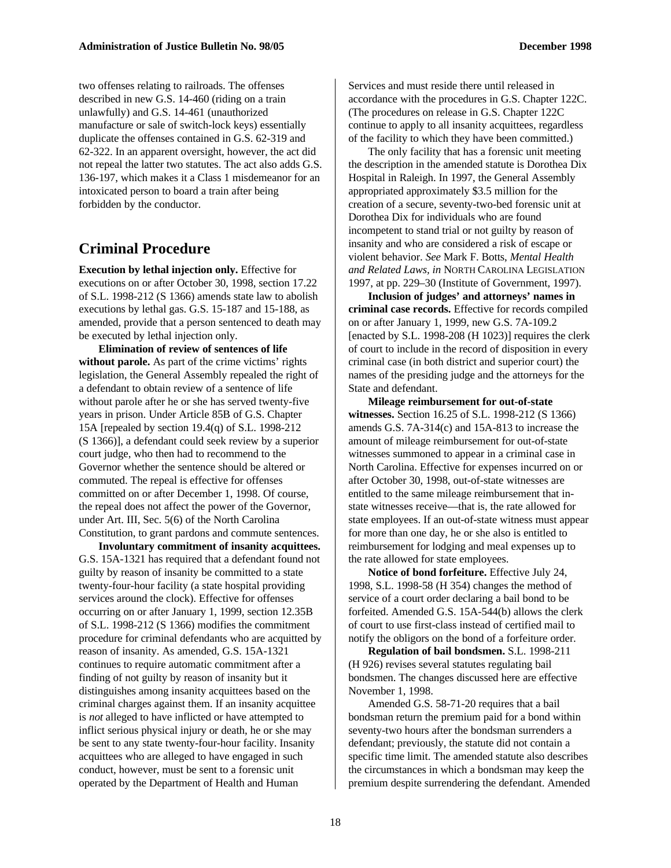two offenses relating to railroads. The offenses described in new G.S. 14-460 (riding on a train unlawfully) and G.S. 14-461 (unauthorized manufacture or sale of switch-lock keys) essentially duplicate the offenses contained in G.S. 62-319 and 62-322. In an apparent oversight, however, the act did not repeal the latter two statutes. The act also adds G.S. 136-197, which makes it a Class 1 misdemeanor for an intoxicated person to board a train after being forbidden by the conductor.

#### **Criminal Procedure**

**Execution by lethal injection only.** Effective for executions on or after October 30, 1998, section 17.22 of S.L. 1998-212 (S 1366) amends state law to abolish executions by lethal gas. G.S. 15-187 and 15-188, as amended, provide that a person sentenced to death may be executed by lethal injection only.

**Elimination of review of sentences of life without parole.** As part of the crime victims' rights legislation, the General Assembly repealed the right of a defendant to obtain review of a sentence of life without parole after he or she has served twenty-five years in prison. Under Article 85B of G.S. Chapter 15A [repealed by section 19.4(q) of S.L. 1998-212 (S 1366)], a defendant could seek review by a superior court judge, who then had to recommend to the Governor whether the sentence should be altered or commuted. The repeal is effective for offenses committed on or after December 1, 1998. Of course, the repeal does not affect the power of the Governor, under Art. III, Sec. 5(6) of the North Carolina Constitution, to grant pardons and commute sentences.

**Involuntary commitment of insanity acquittees.** G.S. 15A-1321 has required that a defendant found not guilty by reason of insanity be committed to a state twenty-four-hour facility (a state hospital providing services around the clock). Effective for offenses occurring on or after January 1, 1999, section 12.35B of S.L. 1998-212 (S 1366) modifies the commitment procedure for criminal defendants who are acquitted by reason of insanity. As amended, G.S. 15A-1321 continues to require automatic commitment after a finding of not guilty by reason of insanity but it distinguishes among insanity acquittees based on the criminal charges against them. If an insanity acquittee is *not* alleged to have inflicted or have attempted to inflict serious physical injury or death, he or she may be sent to any state twenty-four-hour facility. Insanity acquittees who are alleged to have engaged in such conduct, however, must be sent to a forensic unit operated by the Department of Health and Human

Services and must reside there until released in accordance with the procedures in G.S. Chapter 122C. (The procedures on release in G.S. Chapter 122C continue to apply to all insanity acquittees, regardless of the facility to which they have been committed.)

The only facility that has a forensic unit meeting the description in the amended statute is Dorothea Dix Hospital in Raleigh. In 1997, the General Assembly appropriated approximately \$3.5 million for the creation of a secure, seventy-two-bed forensic unit at Dorothea Dix for individuals who are found incompetent to stand trial or not guilty by reason of insanity and who are considered a risk of escape or violent behavior. *See* Mark F. Botts, *Mental Health and Related Laws, in* NORTH CAROLINA LEGISLATION 1997, at pp. 229–30 (Institute of Government, 1997).

**Inclusion of judges' and attorneys' names in criminal case records.** Effective for records compiled on or after January 1, 1999, new G.S. 7A-109.2 [enacted by S.L. 1998-208 (H 1023)] requires the clerk of court to include in the record of disposition in every criminal case (in both district and superior court) the names of the presiding judge and the attorneys for the State and defendant.

**Mileage reimbursement for out-of-state witnesses.** Section 16.25 of S.L. 1998-212 (S 1366) amends G.S. 7A-314(c) and 15A-813 to increase the amount of mileage reimbursement for out-of-state witnesses summoned to appear in a criminal case in North Carolina. Effective for expenses incurred on or after October 30, 1998, out-of-state witnesses are entitled to the same mileage reimbursement that instate witnesses receive—that is, the rate allowed for state employees. If an out-of-state witness must appear for more than one day, he or she also is entitled to reimbursement for lodging and meal expenses up to the rate allowed for state employees.

**Notice of bond forfeiture.** Effective July 24, 1998, S.L. 1998-58 (H 354) changes the method of service of a court order declaring a bail bond to be forfeited. Amended G.S. 15A-544(b) allows the clerk of court to use first-class instead of certified mail to notify the obligors on the bond of a forfeiture order.

**Regulation of bail bondsmen.** S.L. 1998-211 (H 926) revises several statutes regulating bail bondsmen. The changes discussed here are effective November 1, 1998.

Amended G.S. 58-71-20 requires that a bail bondsman return the premium paid for a bond within seventy-two hours after the bondsman surrenders a defendant; previously, the statute did not contain a specific time limit. The amended statute also describes the circumstances in which a bondsman may keep the premium despite surrendering the defendant. Amended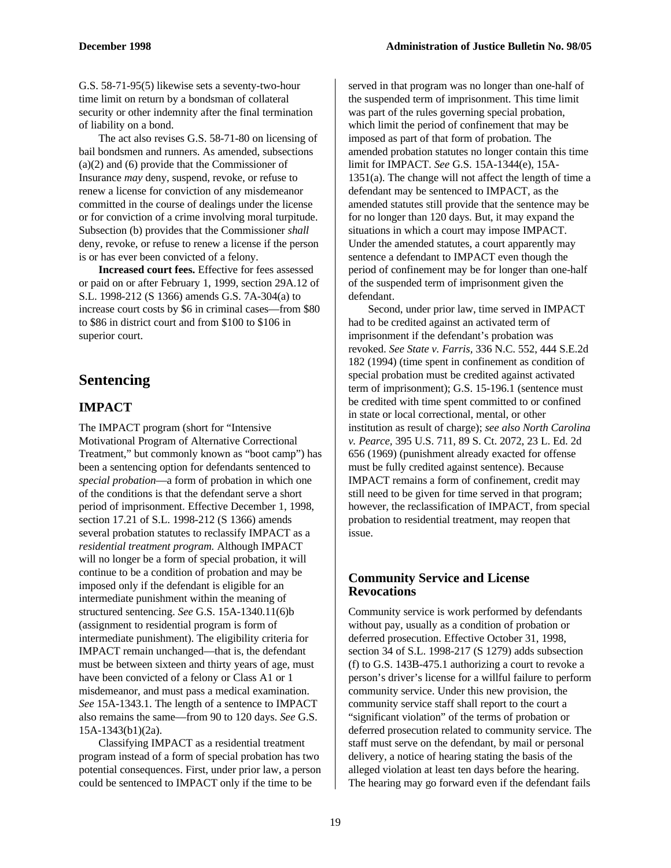G.S. 58-71-95(5) likewise sets a seventy-two-hour time limit on return by a bondsman of collateral security or other indemnity after the final termination of liability on a bond.

The act also revises G.S. 58-71-80 on licensing of bail bondsmen and runners. As amended, subsections (a)(2) and (6) provide that the Commissioner of Insurance *may* deny, suspend, revoke, or refuse to renew a license for conviction of any misdemeanor committed in the course of dealings under the license or for conviction of a crime involving moral turpitude. Subsection (b) provides that the Commissioner *shall* deny, revoke, or refuse to renew a license if the person is or has ever been convicted of a felony.

**Increased court fees.** Effective for fees assessed or paid on or after February 1, 1999, section 29A.12 of S.L. 1998-212 (S 1366) amends G.S. 7A-304(a) to increase court costs by \$6 in criminal cases—from \$80 to \$86 in district court and from \$100 to \$106 in superior court.

#### **Sentencing**

#### **IMPACT**

The IMPACT program (short for "Intensive Motivational Program of Alternative Correctional Treatment," but commonly known as "boot camp") has been a sentencing option for defendants sentenced to *special probation*—a form of probation in which one of the conditions is that the defendant serve a short period of imprisonment. Effective December 1, 1998, section 17.21 of S.L. 1998-212 (S 1366) amends several probation statutes to reclassify IMPACT as a *residential treatment program.* Although IMPACT will no longer be a form of special probation, it will continue to be a condition of probation and may be imposed only if the defendant is eligible for an intermediate punishment within the meaning of structured sentencing. *See* G.S. 15A-1340.11(6)b (assignment to residential program is form of intermediate punishment). The eligibility criteria for IMPACT remain unchanged—that is, the defendant must be between sixteen and thirty years of age, must have been convicted of a felony or Class A1 or 1 misdemeanor, and must pass a medical examination. *See* 15A-1343.1. The length of a sentence to IMPACT also remains the same—from 90 to 120 days. *See* G.S. 15A-1343(b1)(2a).

Classifying IMPACT as a residential treatment program instead of a form of special probation has two potential consequences. First, under prior law, a person could be sentenced to IMPACT only if the time to be

served in that program was no longer than one-half of the suspended term of imprisonment. This time limit was part of the rules governing special probation, which limit the period of confinement that may be imposed as part of that form of probation. The amended probation statutes no longer contain this time limit for IMPACT. *See* G.S. 15A-1344(e), 15A- $1351(a)$ . The change will not affect the length of time a defendant may be sentenced to IMPACT, as the amended statutes still provide that the sentence may be for no longer than 120 days. But, it may expand the situations in which a court may impose IMPACT. Under the amended statutes, a court apparently may sentence a defendant to IMPACT even though the period of confinement may be for longer than one-half of the suspended term of imprisonment given the defendant.

Second, under prior law, time served in IMPACT had to be credited against an activated term of imprisonment if the defendant's probation was revoked. *See State v. Farris,* 336 N.C. 552, 444 S.E.2d 182 (1994) (time spent in confinement as condition of special probation must be credited against activated term of imprisonment); G.S. 15-196.1 (sentence must be credited with time spent committed to or confined in state or local correctional, mental, or other institution as result of charge); *see also North Carolina v. Pearce,* 395 U.S. 711, 89 S. Ct. 2072, 23 L. Ed. 2d 656 (1969) (punishment already exacted for offense must be fully credited against sentence). Because IMPACT remains a form of confinement, credit may still need to be given for time served in that program; however, the reclassification of IMPACT, from special probation to residential treatment, may reopen that issue.

#### **Community Service and License Revocations**

Community service is work performed by defendants without pay, usually as a condition of probation or deferred prosecution. Effective October 31, 1998, section 34 of S.L. 1998-217 (S 1279) adds subsection (f) to G.S. 143B-475.1 authorizing a court to revoke a person's driver's license for a willful failure to perform community service. Under this new provision, the community service staff shall report to the court a "significant violation" of the terms of probation or deferred prosecution related to community service. The staff must serve on the defendant, by mail or personal delivery, a notice of hearing stating the basis of the alleged violation at least ten days before the hearing. The hearing may go forward even if the defendant fails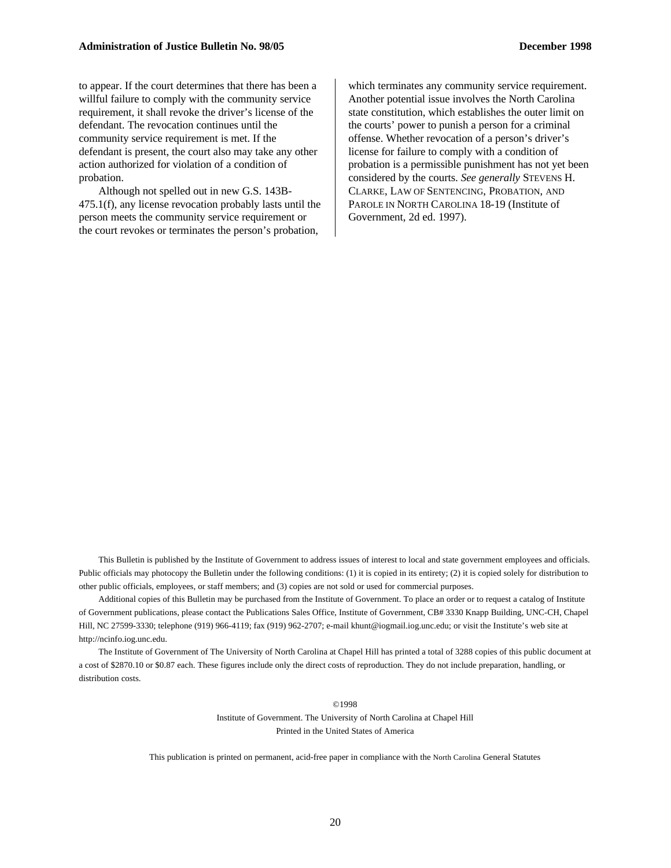to appear. If the court determines that there has been a willful failure to comply with the community service requirement, it shall revoke the driver's license of the defendant. The revocation continues until the community service requirement is met. If the defendant is present, the court also may take any other action authorized for violation of a condition of probation.

Although not spelled out in new G.S. 143B-475.1(f), any license revocation probably lasts until the person meets the community service requirement or the court revokes or terminates the person's probation,

which terminates any community service requirement. Another potential issue involves the North Carolina state constitution, which establishes the outer limit on the courts' power to punish a person for a criminal offense. Whether revocation of a person's driver's license for failure to comply with a condition of probation is a permissible punishment has not yet been considered by the courts. *See generally* STEVENS H. CLARKE, LAW OF SENTENCING, PROBATION, AND PAROLE IN NORTH CAROLINA 18-19 (Institute of Government, 2d ed. 1997).

This Bulletin is published by the Institute of Government to address issues of interest to local and state government employees and officials. Public officials may photocopy the Bulletin under the following conditions: (1) it is copied in its entirety; (2) it is copied solely for distribution to other public officials, employees, or staff members; and (3) copies are not sold or used for commercial purposes.

Additional copies of this Bulletin may be purchased from the Institute of Government. To place an order or to request a catalog of Institute of Government publications, please contact the Publications Sales Office, Institute of Government, CB# 3330 Knapp Building, UNC-CH, Chapel Hill, NC 27599-3330; telephone (919) 966-4119; fax (919) 962-2707; e-mail khunt@iogmail.iog.unc.edu; or visit the Institute's web site at http://ncinfo.iog.unc.edu.

The Institute of Government of The University of North Carolina at Chapel Hill has printed a total of 3288 copies of this public document at a cost of \$2870.10 or \$0.87 each. These figures include only the direct costs of reproduction. They do not include preparation, handling, or distribution costs.

> ©1998 Institute of Government. The University of North Carolina at Chapel Hill Printed in the United States of America

This publication is printed on permanent, acid-free paper in compliance with the North Carolina General Statutes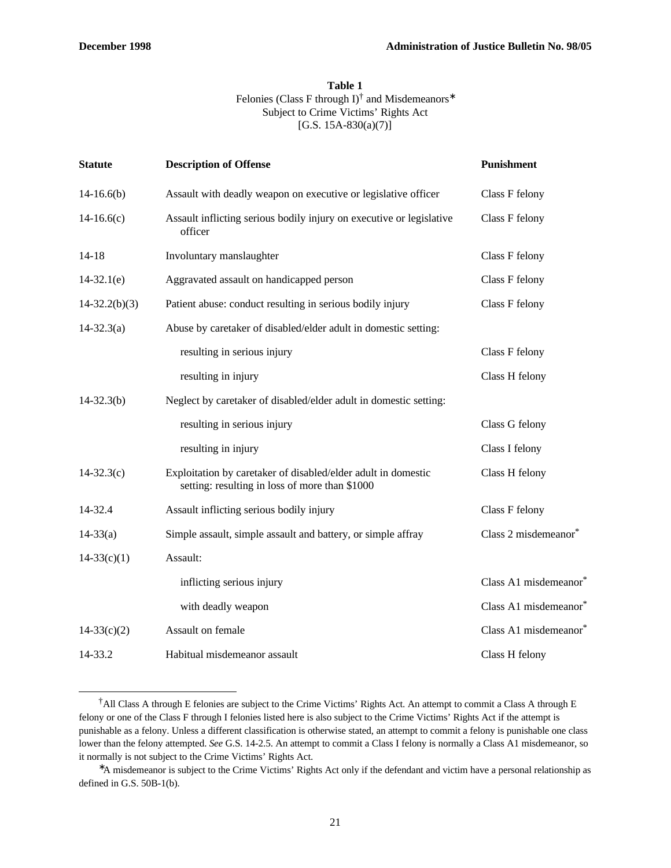-

#### **Table 1**

#### Felonies (Class F through I)<sup>†</sup> and Misdemeanors<sup>\*</sup> Subject to Crime Victims' Rights Act [G.S. 15A-830(a)(7)]

| <b>Description of Offense</b>                                                                                   | Punishment            |
|-----------------------------------------------------------------------------------------------------------------|-----------------------|
| Assault with deadly weapon on executive or legislative officer                                                  | Class F felony        |
| Assault inflicting serious bodily injury on executive or legislative<br>officer                                 | Class F felony        |
| Involuntary manslaughter                                                                                        | Class F felony        |
| Aggravated assault on handicapped person                                                                        | Class F felony        |
| Patient abuse: conduct resulting in serious bodily injury                                                       | Class F felony        |
| Abuse by caretaker of disabled/elder adult in domestic setting:                                                 |                       |
| resulting in serious injury                                                                                     | Class F felony        |
| resulting in injury                                                                                             | Class H felony        |
| Neglect by caretaker of disabled/elder adult in domestic setting:                                               |                       |
| resulting in serious injury                                                                                     | Class G felony        |
| resulting in injury                                                                                             | Class I felony        |
| Exploitation by caretaker of disabled/elder adult in domestic<br>setting: resulting in loss of more than \$1000 | Class H felony        |
| Assault inflicting serious bodily injury                                                                        | Class F felony        |
| Simple assault, simple assault and battery, or simple affray                                                    | Class 2 misdemeanor*  |
| Assault:                                                                                                        |                       |
| inflicting serious injury                                                                                       | Class A1 misdemeanor* |
| with deadly weapon                                                                                              | Class A1 misdemeanor* |
| Assault on female                                                                                               | Class A1 misdemeanor* |
| Habitual misdemeanor assault                                                                                    | Class H felony        |
|                                                                                                                 |                       |

<sup>†</sup>All Class A through E felonies are subject to the Crime Victims' Rights Act. An attempt to commit a Class A through E felony or one of the Class F through I felonies listed here is also subject to the Crime Victims' Rights Act if the attempt is punishable as a felony. Unless a different classification is otherwise stated, an attempt to commit a felony is punishable one class lower than the felony attempted. *See* G.S. 14-2.5. An attempt to commit a Class I felony is normally a Class A1 misdemeanor, so it normally is not subject to the Crime Victims' Rights Act.

<sup>∗</sup>A misdemeanor is subject to the Crime Victims' Rights Act only if the defendant and victim have a personal relationship as defined in G.S. 50B-1(b).